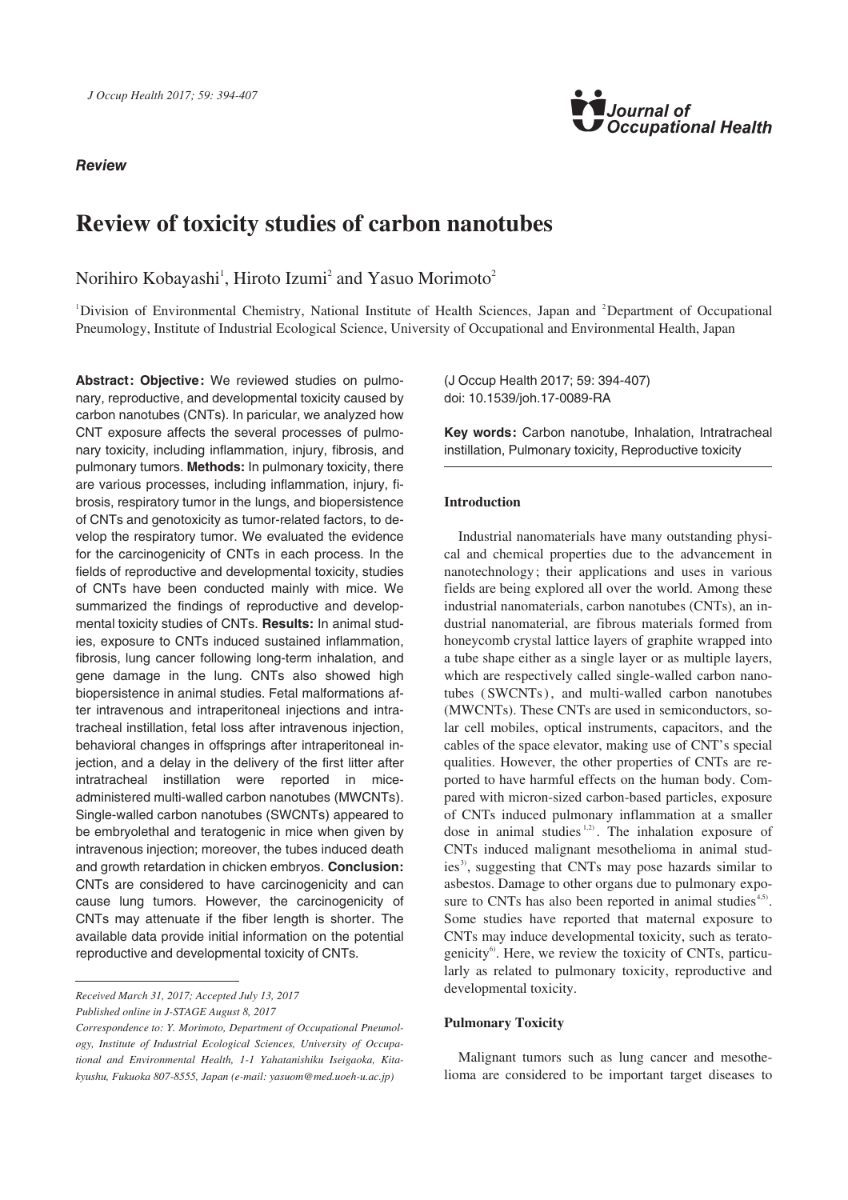## **Review**



# **Review of toxicity studies of carbon nanotubes**

Norihiro Kobayashi<sup>1</sup>, Hiroto Izumi<sup>2</sup> and Yasuo Morimoto<sup>2</sup>

<sup>1</sup>Division of Environmental Chemistry, National Institute of Health Sciences, Japan and <sup>2</sup>Department of Occupational Pneumology, Institute of Industrial Ecological Science, University of Occupational and Environmental Health, Japan

Abstract: Objective: We reviewed studies on pulmonary, reproductive, and developmental toxicity caused by carbon nanotubes (CNTs). In paricular, we analyzed how CNT exposure affects the several processes of pulmonary toxicity, including inflammation, injury, fibrosis, and pulmonary tumors. **Methods:** In pulmonary toxicity, there are various processes, including inflammation, injury, fibrosis, respiratory tumor in the lungs, and biopersistence of CNTs and genotoxicity as tumor-related factors, to develop the respiratory tumor. We evaluated the evidence for the carcinogenicity of CNTs in each process. In the fields of reproductive and developmental toxicity, studies of CNTs have been conducted mainly with mice. We summarized the findings of reproductive and developmental toxicity studies of CNTs. **Results:** In animal studies, exposure to CNTs induced sustained inflammation, fibrosis, lung cancer following long-term inhalation, and gene damage in the lung. CNTs also showed high biopersistence in animal studies. Fetal malformations after intravenous and intraperitoneal injections and intratracheal instillation, fetal loss after intravenous injection, behavioral changes in offsprings after intraperitoneal injection, and a delay in the delivery of the first litter after intratracheal instillation were reported in miceadministered multi-walled carbon nanotubes (MWCNTs). Single-walled carbon nanotubes (SWCNTs) appeared to be embryolethal and teratogenic in mice when given by intravenous injection; moreover, the tubes induced death and growth retardation in chicken embryos. **Conclusion:** CNTs are considered to have carcinogenicity and can cause lung tumors. However, the carcinogenicity of CNTs may attenuate if the fiber length is shorter. The available data provide initial information on the potential reproductive and developmental toxicity of CNTs.

*Received March 31, 2017; Accepted July 13, 2017*

*Published online in J-STAGE August 8, 2017*

(J Occup Health 2017; 59: 394-407) doi: 10.1539/joh.17-0089-RA

**Key words:** Carbon nanotube, Inhalation, Intratracheal instillation, Pulmonary toxicity, Reproductive toxicity

## **Introduction**

Industrial nanomaterials have many outstanding physical and chemical properties due to the advancement in nanotechnology; their applications and uses in various fields are being explored all over the world. Among these industrial nanomaterials, carbon nanotubes (CNTs), an industrial nanomaterial, are fibrous materials formed from honeycomb crystal lattice layers of graphite wrapped into a tube shape either as a single layer or as multiple layers, which are respectively called single-walled carbon nanotubes (SWCNTs) , and multi-walled carbon nanotubes (MWCNTs). These CNTs are used in semiconductors, solar cell mobiles, optical instruments, capacitors, and the cables of the space elevator, making use of CNT's special qualities. However, the other properties of CNTs are reported to have harmful effects on the human body. Compared with micron-sized carbon-based particles, exposure of CNTs induced pulmonary inflammation at a smaller dose in animal studies<sup>1,2)</sup>. The inhalation exposure of CNTs induced malignant mesothelioma in animal studies<sup>3)</sup>, suggesting that CNTs may pose hazards similar to asbestos. Damage to other organs due to pulmonary exposure to CNTs has also been reported in animal studies $4.5$ . Some studies have reported that maternal exposure to CNTs may induce developmental toxicity, such as teratogenicity<sup>6</sup>. Here, we review the toxicity of CNTs, particularly as related to pulmonary toxicity, reproductive and developmental toxicity.

## **Pulmonary Toxicity**

Malignant tumors such as lung cancer and mesothelioma are considered to be important target diseases to

*Correspondence to: Y. Morimoto, Department of Occupational Pneumology, Institute of Industrial Ecological Sciences, University of Occupational and Environmental Health, 1-1 Yahatanishiku Iseigaoka, Kitakyushu, Fukuoka 807-8555, Japan (e-mail: yasuom@med.uoeh-u.ac.jp)*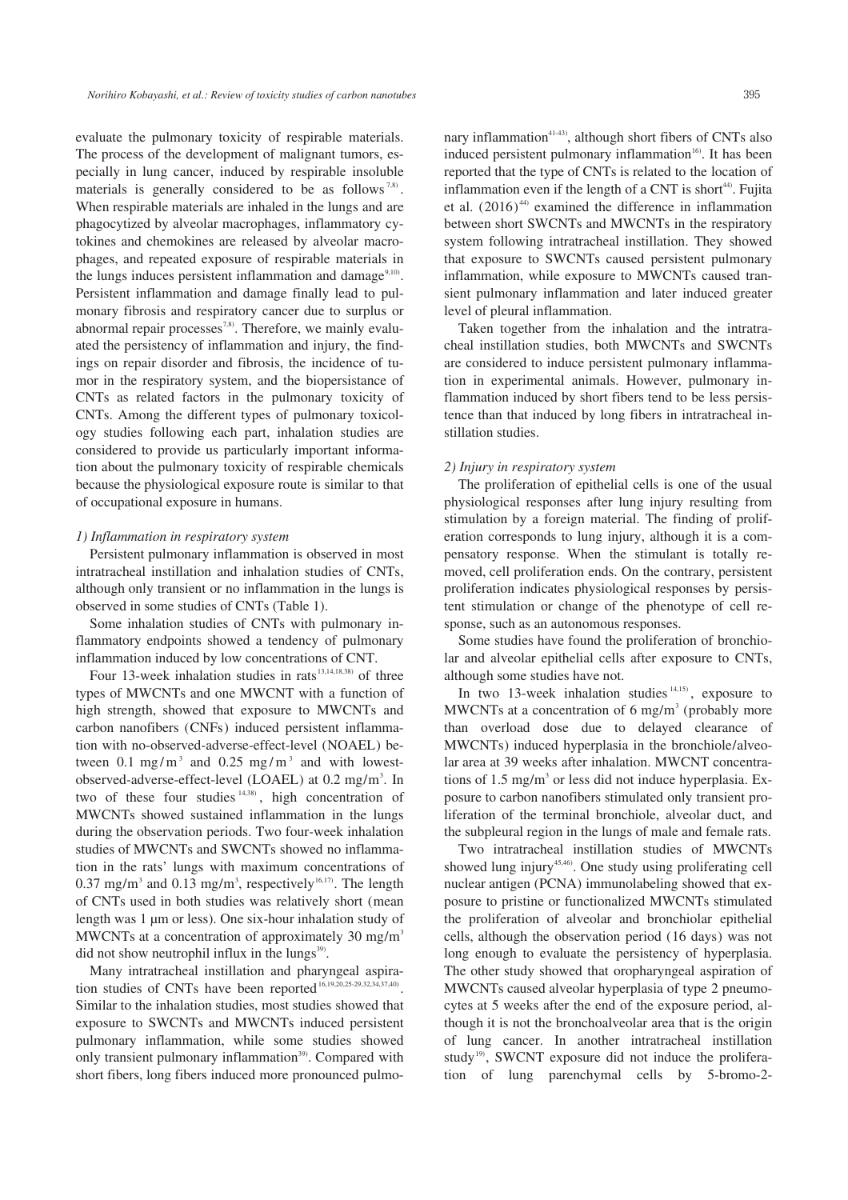evaluate the pulmonary toxicity of respirable materials. The process of the development of malignant tumors, especially in lung cancer, induced by respirable insoluble materials is generally considered to be as follows  $7.8$ . When respirable materials are inhaled in the lungs and are phagocytized by alveolar macrophages, inflammatory cytokines and chemokines are released by alveolar macrophages, and repeated exposure of respirable materials in the lungs induces persistent inflammation and damage $9,10$ . Persistent inflammation and damage finally lead to pulmonary fibrosis and respiratory cancer due to surplus or abnormal repair processes<sup>7,8)</sup>. Therefore, we mainly evaluated the persistency of inflammation and injury, the findings on repair disorder and fibrosis, the incidence of tumor in the respiratory system, and the biopersistance of CNTs as related factors in the pulmonary toxicity of CNTs. Among the different types of pulmonary toxicology studies following each part, inhalation studies are considered to provide us particularly important information about the pulmonary toxicity of respirable chemicals because the physiological exposure route is similar to that of occupational exposure in humans.

#### *1) Inflammation in respiratory system*

Persistent pulmonary inflammation is observed in most intratracheal instillation and inhalation studies of CNTs, although only transient or no inflammation in the lungs is observed in some studies of CNTs (Table 1).

Some inhalation studies of CNTs with pulmonary inflammatory endpoints showed a tendency of pulmonary inflammation induced by low concentrations of CNT.

Four 13-week inhalation studies in rats $13,14,18,38$  of three types of MWCNTs and one MWCNT with a function of high strength, showed that exposure to MWCNTs and carbon nanofibers (CNFs) induced persistent inflammation with no-observed-adverse-effect-level (NOAEL) between 0.1 mg/m<sup>3</sup> and 0.25 mg/m<sup>3</sup> and with lowestobserved-adverse-effect-level (LOAEL) at 0.2 mg/m<sup>3</sup>. In two of these four studies  $14,38$ , high concentration of MWCNTs showed sustained inflammation in the lungs during the observation periods. Two four-week inhalation studies of MWCNTs and SWCNTs showed no inflammation in the rats' lungs with maximum concentrations of 0.37 mg/m<sup>3</sup> and 0.13 mg/m<sup>3</sup>, respectively<sup>16,17</sup>. The length of CNTs used in both studies was relatively short (mean length was 1 μm or less). One six-hour inhalation study of MWCNTs at a concentration of approximately 30 mg/m<sup>3</sup> did not show neutrophil influx in the  $\text{lungs}^{39}$ .

Many intratracheal instillation and pharyngeal aspiration studies of CNTs have been reported<sup>16,19,20,25-29,32,34,37,40)</sup>. Similar to the inhalation studies, most studies showed that exposure to SWCNTs and MWCNTs induced persistent pulmonary inflammation, while some studies showed only transient pulmonary inflammation<sup>39)</sup>. Compared with short fibers, long fibers induced more pronounced pulmonary inflammation<sup>41-43)</sup>, although short fibers of CNTs also induced persistent pulmonary inflammation<sup>16</sup>. It has been reported that the type of CNTs is related to the location of inflammation even if the length of a CNT is short<sup>44)</sup>. Fujita et al.  $(2016)^{44}$  examined the difference in inflammation between short SWCNTs and MWCNTs in the respiratory system following intratracheal instillation. They showed that exposure to SWCNTs caused persistent pulmonary inflammation, while exposure to MWCNTs caused transient pulmonary inflammation and later induced greater level of pleural inflammation.

Taken together from the inhalation and the intratracheal instillation studies, both MWCNTs and SWCNTs are considered to induce persistent pulmonary inflammation in experimental animals. However, pulmonary inflammation induced by short fibers tend to be less persistence than that induced by long fibers in intratracheal instillation studies.

#### *2) Injury in respiratory system*

The proliferation of epithelial cells is one of the usual physiological responses after lung injury resulting from stimulation by a foreign material. The finding of proliferation corresponds to lung injury, although it is a compensatory response. When the stimulant is totally removed, cell proliferation ends. On the contrary, persistent proliferation indicates physiological responses by persistent stimulation or change of the phenotype of cell response, such as an autonomous responses.

Some studies have found the proliferation of bronchiolar and alveolar epithelial cells after exposure to CNTs, although some studies have not.

In two 13-week inhalation studies  $14,15$ , exposure to MWCNTs at a concentration of 6 mg/m<sup>3</sup> (probably more than overload dose due to delayed clearance of MWCNTs) induced hyperplasia in the bronchiole/alveolar area at 39 weeks after inhalation. MWCNT concentrations of  $1.5 \text{ mg/m}^3$  or less did not induce hyperplasia. Exposure to carbon nanofibers stimulated only transient proliferation of the terminal bronchiole, alveolar duct, and the subpleural region in the lungs of male and female rats.

Two intratracheal instillation studies of MWCNTs showed lung injury<sup>45,46)</sup>. One study using proliferating cell nuclear antigen (PCNA) immunolabeling showed that exposure to pristine or functionalized MWCNTs stimulated the proliferation of alveolar and bronchiolar epithelial cells, although the observation period (16 days) was not long enough to evaluate the persistency of hyperplasia. The other study showed that oropharyngeal aspiration of MWCNTs caused alveolar hyperplasia of type 2 pneumocytes at 5 weeks after the end of the exposure period, although it is not the bronchoalveolar area that is the origin of lung cancer. In another intratracheal instillation study<sup>19)</sup>, SWCNT exposure did not induce the proliferation of lung parenchymal cells by 5-bromo-2-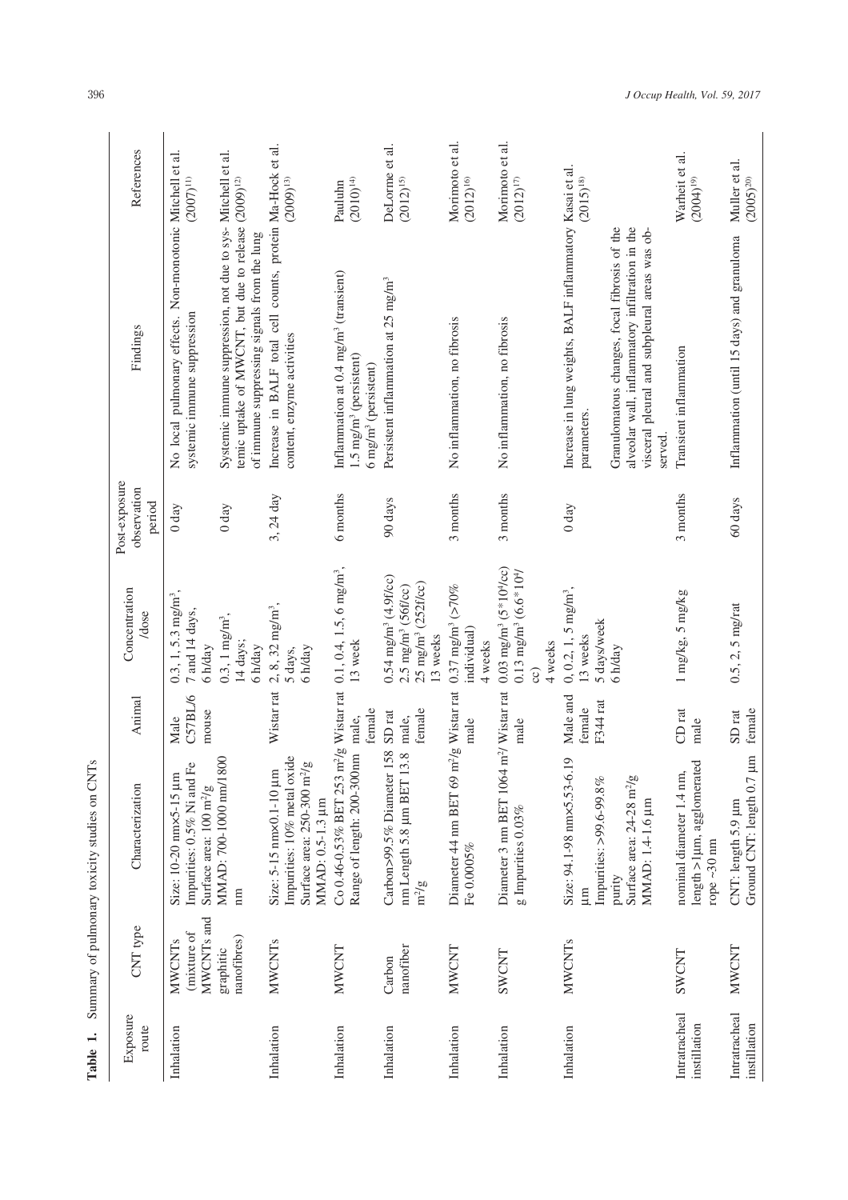|                                               | References                             | $(2007)^{11}$                                                                                                  |                                                                                                                                                                                | $(2009)^{13}$                                                                                                         | $(2010)^{14}$<br>Pauluhn                                                                                                      | DeLorme et al.<br>$(2012)^{15}$                                                                                      | Morimoto et al.<br>$(2012)^{16}$                           | Morimoto et al.<br>$(2012)^{17}$                                                                                           | $(2015)^{18}$                                                                                                                                                                                                                          | Warheit et al.<br>$(2004)^{19}$                                                | Muller et al.<br>$(2005)^{20}$                               |
|-----------------------------------------------|----------------------------------------|----------------------------------------------------------------------------------------------------------------|--------------------------------------------------------------------------------------------------------------------------------------------------------------------------------|-----------------------------------------------------------------------------------------------------------------------|-------------------------------------------------------------------------------------------------------------------------------|----------------------------------------------------------------------------------------------------------------------|------------------------------------------------------------|----------------------------------------------------------------------------------------------------------------------------|----------------------------------------------------------------------------------------------------------------------------------------------------------------------------------------------------------------------------------------|--------------------------------------------------------------------------------|--------------------------------------------------------------|
|                                               | Findings                               | No local pulmonary effects. Non-monotonic Mitchell et al.<br>systemic immune suppression                       | Systemic immune suppression, not due to sys- Mitchell et al.<br>temic uptake of MWCNT, but due to release (2009) <sup>12)</sup><br>of immune suppressing signals from the lung | Increase in BALF total cell counts, protein Ma-Hock et al.<br>content, enzyme activities                              | Inflammation at 0.4 mg/m <sup>3</sup> (transient)<br>$1.5$ mg/m <sup>3</sup> (persistent)<br>6 mg/m <sup>3</sup> (persistent) | Persistent inflammation at 25 mg/m <sup>3</sup>                                                                      | No inflammation, no fibrosis                               | No inflammation, no fibrosis                                                                                               | Increase in lung weights, BALF inflammatory Kasai et al.<br>alveolar wall, inflammatory infiltration in the<br>Granulomatous changes, focal fibrosis of the<br>visceral pleural and subpleural areas was ob-<br>parameters.<br>served. | Transient inflammation                                                         | Inflammation (until 15 days) and granuloma                   |
|                                               | Post-exposure<br>observation<br>period | $0 \,day$                                                                                                      | $0$ day                                                                                                                                                                        | 3, $24$ day                                                                                                           | 6 months                                                                                                                      | 90 days                                                                                                              | 3 months                                                   | 3 months                                                                                                                   | $0 \, day$                                                                                                                                                                                                                             | 3 months                                                                       | 60 days                                                      |
|                                               | Concentration<br>/dose                 | $0.3, 1, 5.3$ mg/m <sup>3</sup> ,<br>7 and 14 days,<br>6 h/day                                                 | $0.3, 1$ mg/m <sup>3</sup> ,<br>14 days;<br>6 h/day                                                                                                                            | $2, 8, 32$ mg/m <sup>3</sup> ,<br>6 h/day<br>5 days,                                                                  | $m^2/g$ Wistar rat 0.1, 0.4, 1.5, 6 mg/m <sup>3</sup> ,<br>13 week                                                            | $0.54$ mg/m <sup>3</sup> (4.9f/cc)<br>25 mg/m <sup>3</sup> (252f/cc)<br>$2.5$ mg/m <sup>3</sup> (56f/cc)<br>13 weeks | 0.37 mg/m <sup>3</sup> ( $>70\%$<br>individual)<br>4 weeks | $0.03$ mg/m <sup>3</sup> (5 <sup>*</sup> 10 <sup>4</sup> /cc)<br>$0.13$ mg/m <sup>3</sup> (6.6 * $104$ )<br>4 weeks<br>CC) | $0, 0.2, 1, 5$ mg/m <sup>3</sup> ,<br>5 days/week<br>13 weeks<br>6 h/day                                                                                                                                                               | 1 mg/kg, 5 mg/kg                                                               | $0.5, 2, 5$ mg/rat                                           |
|                                               | Animal                                 | C57BL/6<br>mouse<br>Male                                                                                       |                                                                                                                                                                                | Wistar rat                                                                                                            | female<br>male,                                                                                                               | female<br>SD <sub>rat</sub><br>male,                                                                                 | $\rm m^2/g$ Wistar rat<br>male                             | male                                                                                                                       | Male and<br>F344 rat<br>female                                                                                                                                                                                                         | CDrat<br>male                                                                  | female<br>SD <sub>rat</sub>                                  |
| Summary of pulmonary toxicity studies on CNTs | Characterization                       | £<br>Size: 10-20 $\text{mm}$ x5-15 $\mu$ m<br>Impurities: 0.5% Ni and 1<br>Surface area: 100 m <sup>2</sup> /g | MMAD: 700-1000 nm/1800<br>$\mathbf{m}$                                                                                                                                         | Impurities: 10% metal oxide<br>Surface area: 250-300 m <sup>2</sup> /g<br>Size: 5-15 nm×0.1-10 µm<br>MMAD: 0.5-1.3 µm | Range of length: 200-300nm<br>Co 0.46-0.53% BET 253                                                                           | Carbon>99.5% Diameter 158<br>3.8<br>nm Length 5.8 µm BET 1<br>$m^2/g$                                                | Diameter 44 nm BET 69<br>Fe 0.0005%                        | Diameter 3 nm BET 1064 m <sup>2</sup> / Wistar rat<br>g Impurities $0.03\%$                                                | 19<br>Size: 94.1-98 nm×5.53-6.<br>Surface area: 24-28 m <sup>2</sup> /g<br>Impurities: >99.6-99.8%<br>MMAD: 1.4-1.6 µm<br>purity<br>$\mathop{\mathrm{Im}}$                                                                             | <b>S</b><br>nominal diameter 1.4 nm,<br>length >1µm, agglomerat<br>rope ~30 nm | $\mathbb{H}$<br>Ground CNT: length 0.7<br>CNT: length 5.9 µm |
|                                               | CNT type                               | MWCNTs and<br>(mixture of<br><b>MWCNTs</b>                                                                     | nanofibres)<br>graphitic                                                                                                                                                       | <b>MWCNTs</b>                                                                                                         | MWCNT                                                                                                                         | nanofiber<br>Carbon                                                                                                  | <b>MWCNT</b>                                               | SWCNT                                                                                                                      | <b>MWCNTs</b>                                                                                                                                                                                                                          | SWCNT                                                                          | <b>MWCNT</b>                                                 |
| Table 1.                                      | Exposure<br>route                      | Inhalation                                                                                                     |                                                                                                                                                                                | Inhalation                                                                                                            | Inhalation                                                                                                                    | Inhalation                                                                                                           | Inhalation                                                 | Inhalation                                                                                                                 | Inhalation                                                                                                                                                                                                                             | Intratracheal<br>instillation                                                  | Intratracheal<br>instillation                                |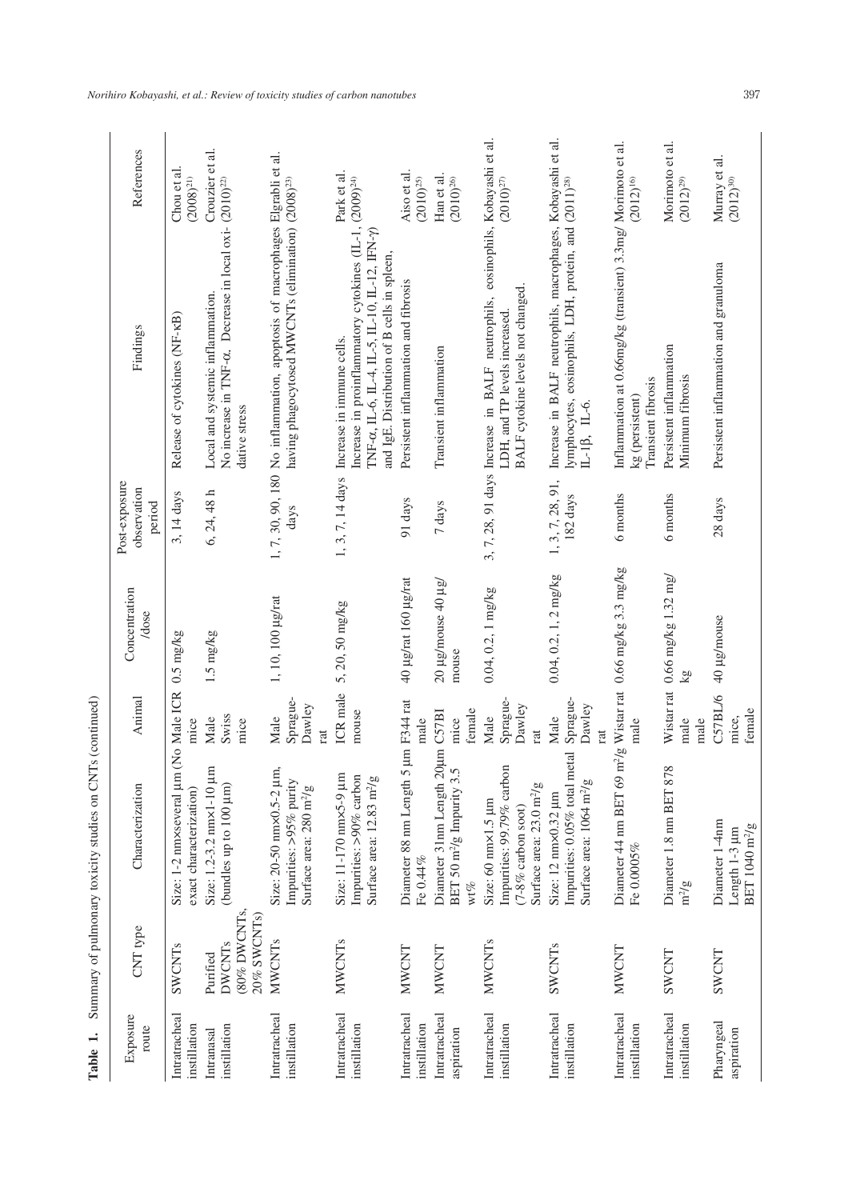| Table 1.                      |                                                         | Summary of pulmonary toxicity studies on CNTs (continued)                                                                   |                                   |                                       |                                        |                                                                                                                                                                                                                                    |                                  |
|-------------------------------|---------------------------------------------------------|-----------------------------------------------------------------------------------------------------------------------------|-----------------------------------|---------------------------------------|----------------------------------------|------------------------------------------------------------------------------------------------------------------------------------------------------------------------------------------------------------------------------------|----------------------------------|
| Exposure<br>route             | CNT type                                                | Characterization                                                                                                            | Animal                            | Concentration<br>/dose                | Post-exposure<br>observation<br>period | Findings                                                                                                                                                                                                                           | References                       |
| Intratracheal<br>instillation | SWCNTs                                                  | Size: 1-2 nm×several µm<br>exact characterization)                                                                          | (No Male ICR<br>mice              | $0.5$ mg/kg                           | 3, 14 days                             | Release of cytokines (NF-KB)                                                                                                                                                                                                       | Chou et al.<br>$(2008)^{21}$     |
| instillation<br>Intranasal    | (80% DWCNTs,<br>20% SWCNTs<br><b>DWCNTs</b><br>Purified | Size: 1.2-3.2 nm×1-10 µm<br>(bundles up to 100 µm)                                                                          | Swiss<br>Male<br>mice             | 1.5 mg/kg                             | 6, 24, 48 h                            | No increase in TNF-a. Decrease in local oxi- (2010) <sup>22</sup><br>Local and systemic inflammation.<br>dative stress                                                                                                             | Crouzier et al.                  |
| Intratracheal<br>instillation | <b>MWCNTs</b>                                           | Size: 20-50 nm×0.5-2 µm,<br>Impurities: >95% purity<br>Surface area: 280 m <sup>2</sup> /g                                  | Sprague-<br>Dawley<br>Male<br>rat | 1, 10, 100 µg/rat                     | days                                   | 1, 7, 30, 90, 180 No inflammation, apoptosis of macrophages Elgrabli et al.<br>having phagocytosed MWCNTs (elimination) (2008) <sup>23)</sup>                                                                                      |                                  |
| Intratracheal<br>instillation | <b>MWCNTs</b>                                           | Size: 11-170 nm×5-9 µm<br>Impurities: >90% carbon<br>Surface area: 12.83 m <sup>2</sup> /g                                  | ICR male<br>mouse                 | 5, 20, 50 mg/kg                       |                                        | Increase in proinflammatory cytokines (IL-1, (2009) <sup>24)</sup><br>TNF- $\alpha$ , IL-6, IL-4, IL-5, IL-10, IL-12, IFN- $\gamma$ )<br>and IgE. Distribution of B cells in spleen,<br>1, 3, 7, 14 days Increase in immune cells. | Park et al.                      |
| Intratracheal<br>instillation | <b>MWCNT</b>                                            | Diameter 88 nm Length 5<br>Fe 0.44%                                                                                         | um F344 rat<br>male               | 40 µg/rat 160 µg/rat                  | 91 days                                | Persistent inflammation and fibrosis                                                                                                                                                                                               | Aiso et al.<br>$(2010)^{25}$     |
| Intratracheal<br>aspiration   | NWCNT                                                   | Diameter 31nm Length 20um C57BI<br>BET 50 $m^2/g$ Impurity 3.5<br>wt%                                                       | female<br>mice                    | $20 \mu$ g/mouse 40 $\mu$ g/<br>mouse | $7\,\mathrm{days}$                     | Transient inflammation                                                                                                                                                                                                             | Han et al.<br>$(2010)^{26}$      |
| Intratracheal<br>instillation | <b>MWCNTs</b>                                           | Impurities: 99.79% carbon<br>Surface area: 23.0 m <sup>2</sup> /g<br>Size: $60$ nm $\times$ 1.5 µm<br>$(7-8\%$ carbon soot) | Sprague-<br>Dawley<br>Male<br>rat | $0.04, 0.2, 1$ mg/kg                  |                                        | 3, 7, 28, 91 days Increase in BALF neutrophils, eosinophils, Kobayashi et al.<br>BALF cytokine levels not changed.<br>LDH, and TP levels increased.                                                                                | $(2010)^{27}\,$                  |
| Intratracheal<br>instillation | SWCNTs                                                  | Impurities: 0.05% total metal<br>Surface area: 1064 m <sup>2</sup> /g<br>Size: 12 nm×0.32 µm                                | Sprague-<br>Dawley<br>Male<br>rat | $0.04, 0.2, 1, 2$ mg/kg               | 1, 3, 7, 28, 91,<br>182 days           | Increase in BALF neutrophils, macrophages, Kobayashi et al.<br>lymphocytes, eosinophils, LDH, protein, and (2011) <sup>28)</sup><br>$IL-1\beta$ , $IL-6$ .                                                                         |                                  |
| Intratracheal<br>instillation | <b>MWCNT</b>                                            | Diameter 44 nm BET 69 m <sup>2</sup> /g Wistar rat 0.66 mg/kg 3.3 mg/kg<br>Fe 0.0005%                                       | male                              |                                       | 6 months                               | Inflammation at 0.66mg/kg (transient) 3.3mg/ Morimoto et al.<br>Transient fibrosis<br>kg (persistent)                                                                                                                              | $(2012)^{16}$                    |
| Intratracheal<br>instillation | SWCNT                                                   | Diameter 1.8 nm BET 878<br>$m^2/g$                                                                                          | Wistar rat<br>male<br>male        | $0.66$ mg/kg $1.32$ mg/<br>δg         | 6 months                               | Persistent inflammation<br>Minimum fibrosis                                                                                                                                                                                        | Morimoto et al.<br>$(2012)^{29}$ |
| Pharyngeal<br>aspiration      | SWCNT                                                   | Diameter 1-4nm<br>BET 1040 m <sup>2</sup> /g<br>Length 1-3 µm                                                               | C57BL/6<br>female<br>mice,        | 40 µg/mouse                           | 28 days                                | Persistent inflammation and granuloma                                                                                                                                                                                              | Murray et al.<br>$(2012)^{30}$   |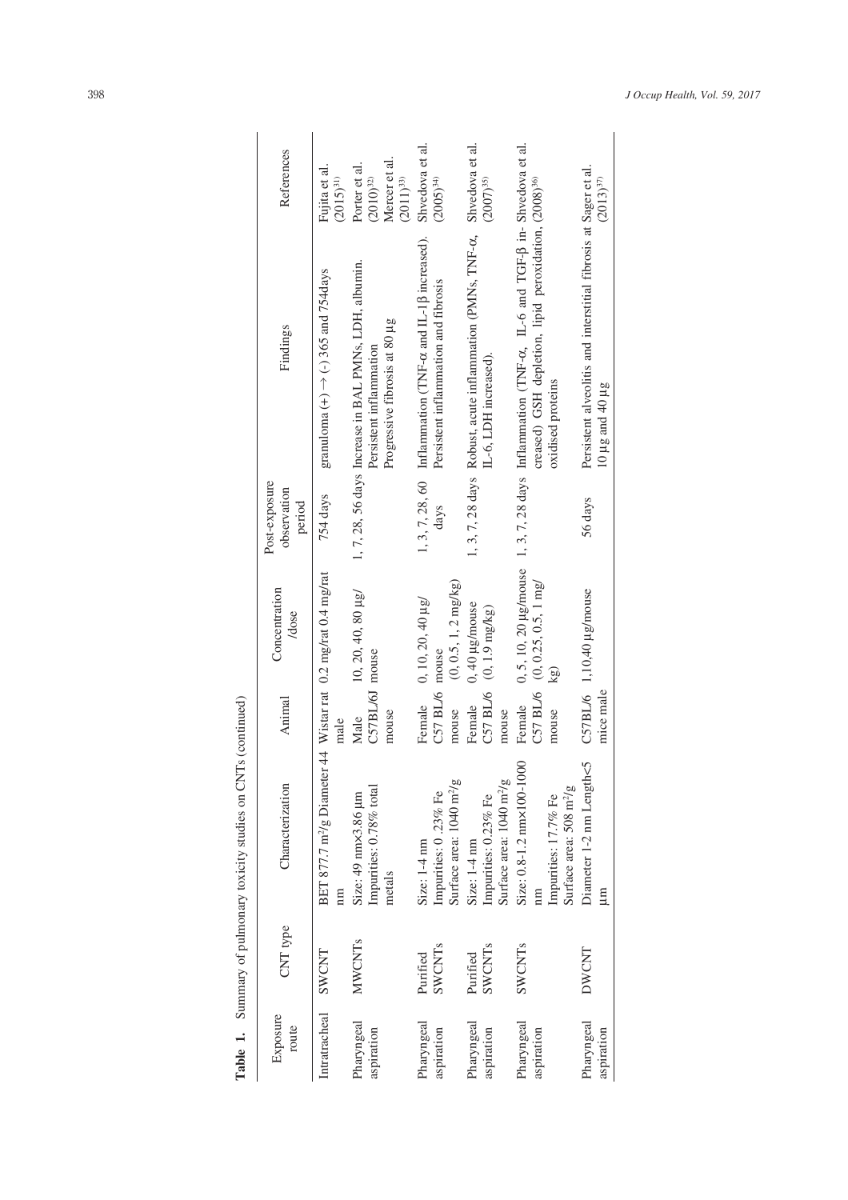|                                                                           | References                             | Fujita et al<br>$(2015)^{31}$                                                                          | Mercer et al.<br>Porter et al.<br>$(2011)^{33}$<br>$(2010)^{32}$                                                  | Shvedova et al.<br>$(2005)^{34}$                                                                                 | $(2007)^{35}$                                                                                               |                                                                                                                                                                                                         | $(2013)^{37}$                                                                                |
|---------------------------------------------------------------------------|----------------------------------------|--------------------------------------------------------------------------------------------------------|-------------------------------------------------------------------------------------------------------------------|------------------------------------------------------------------------------------------------------------------|-------------------------------------------------------------------------------------------------------------|---------------------------------------------------------------------------------------------------------------------------------------------------------------------------------------------------------|----------------------------------------------------------------------------------------------|
|                                                                           | Findings                               | granuloma $(+) \rightarrow (-)$ 365 and 754days                                                        | 1, 7, 28, 56 days Increase in BAL PMNs, LDH, albumin.<br>Progressive fibrosis at 80 µg<br>Persistent inflammation | 1, 3, 7, 28, 60 Inflammation (TNF- $\alpha$ and IL-1 $\beta$ increased).<br>Persistent inflammation and fibrosis | 1, 3, 7, 28 days Robust, acute inflammation (PMNs, TNF- $\alpha$ , Shvedova et al.<br>IL-6, LDH increased). | 0, 5, 10, 20 µg/mouse 1, 3, 7, 28 days Inflammation (TNF- $\alpha$ , IL-6 and TGF- $\beta$ in-Shvedova et al.<br>creased) GSH depletion, lipid peroxidation, (2008) <sup>36)</sup><br>oxidised proteins | Persistent alveolitis and interstitial fibrosis at Sager et al.<br>$10 \mu g$ and $40 \mu g$ |
|                                                                           | Post-exposure<br>observation<br>period | 754 days                                                                                               |                                                                                                                   | days                                                                                                             |                                                                                                             |                                                                                                                                                                                                         | 56 days                                                                                      |
|                                                                           | Concentration<br>/dose                 |                                                                                                        | 10, 20, 40, 80 $\mu$ g/                                                                                           | $(0, 0.5, 1, 2$ mg/kg)<br>$0, 10, 20, 40 \mu g$<br>mouse                                                         | 0, 40 µg/mouse<br>$C57$ BL/6 (0, 1.9 mg/kg)                                                                 | C57 BL/6 $(0, 0.25, 0.5, 1$ mg/<br>kg)                                                                                                                                                                  | C57BL/6 $1,10,40 \mu$ g/mouse                                                                |
|                                                                           | Animal                                 | male                                                                                                   | C57BL/6J mouse<br>mouse<br>Male                                                                                   | C57 BL/6<br>Female<br>mouse                                                                                      | Female<br>mouse                                                                                             | Female<br>mouse                                                                                                                                                                                         | mice male                                                                                    |
| <b>Table 1.</b> Summary of pulmonary toxicity studies on CNTs (continued) | Characterization                       | BET 877.7 m <sup>2</sup> /g Diameter 44 Wistar rat 0.2 mg/rat 0.4 mg/rat<br>$\mathop{\rm mm}\nolimits$ | Impurities: 0.78% total<br>Size: 49 nm×3.86 µm<br>metals                                                          | Surface area: 1040 m <sup>2</sup> /g<br>Impurities: 0.23% Fe<br>Size: 1-4 nm                                     | Surface area: $1040 \text{ m}^2/\text{g}$<br>Impurities: 0.23% Fe<br>Size: 1-4 nm                           | Size: 0.8-1.2 nm×100-1000<br>Surface area: 508 m <sup>2</sup> /g<br>Impurities: 17.7% Fe                                                                                                                | Diameter 1-2 nm Length<5<br>m                                                                |
|                                                                           | CNT type                               | SWCNT                                                                                                  | <b>MWCNTs</b>                                                                                                     | SWCNTs<br>Purified                                                                                               | SWCNTs<br>Purified                                                                                          | SWCNTs                                                                                                                                                                                                  | DWCNT                                                                                        |
|                                                                           | Exposure<br>route                      | Intratracheal                                                                                          | Pharyngeal<br>aspiration                                                                                          | Pharyngeal<br>aspiration                                                                                         | Pharyngeal<br>aspiration                                                                                    | Pharyngeal<br>aspiration                                                                                                                                                                                | Pharyngeal<br>aspiration                                                                     |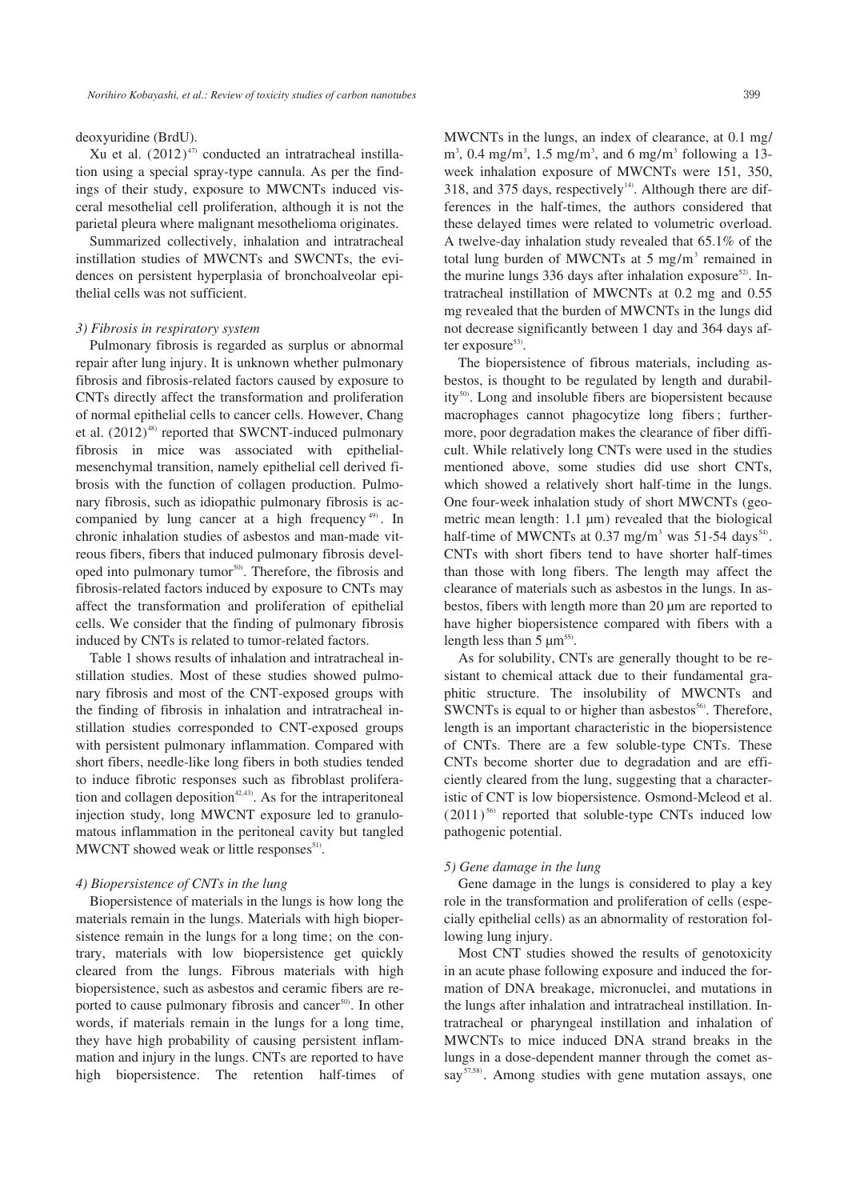Xu et al.  $(2012)^{47}$  conducted an intratracheal instillation using a special spray-type cannula. As per the findings of their study, exposure to MWCNTs induced visceral mesothelial cell proliferation, although it is not the parietal pleura where malignant mesothelioma originates.

Summarized collectively, inhalation and intratracheal instillation studies of MWCNTs and SWCNTs, the evidences on persistent hyperplasia of bronchoalveolar epithelial cells was not sufficient.

#### *3) Fibrosis in respiratory system*

Pulmonary fibrosis is regarded as surplus or abnormal repair after lung injury. It is unknown whether pulmonary fibrosis and fibrosis-related factors caused by exposure to CNTs directly affect the transformation and proliferation of normal epithelial cells to cancer cells. However, Chang et al.  $(2012)^{48}$  reported that SWCNT-induced pulmonary fibrosis in mice was associated with epithelialmesenchymal transition, namely epithelial cell derived fibrosis with the function of collagen production. Pulmonary fibrosis, such as idiopathic pulmonary fibrosis is accompanied by lung cancer at a high frequency 49) . In chronic inhalation studies of asbestos and man-made vitreous fibers, fibers that induced pulmonary fibrosis developed into pulmonary tumor<sup>50)</sup>. Therefore, the fibrosis and fibrosis-related factors induced by exposure to CNTs may affect the transformation and proliferation of epithelial cells. We consider that the finding of pulmonary fibrosis induced by CNTs is related to tumor-related factors.

Table 1 shows results of inhalation and intratracheal instillation studies. Most of these studies showed pulmonary fibrosis and most of the CNT-exposed groups with the finding of fibrosis in inhalation and intratracheal instillation studies corresponded to CNT-exposed groups with persistent pulmonary inflammation. Compared with short fibers, needle-like long fibers in both studies tended to induce fibrotic responses such as fibroblast proliferation and collagen deposition<sup> $42,43)$ </sup>. As for the intraperitoneal injection study, long MWCNT exposure led to granulomatous inflammation in the peritoneal cavity but tangled MWCNT showed weak or little responses<sup>51)</sup>.

#### *4) Biopersistence of CNTs in the lung*

Biopersistence of materials in the lungs is how long the materials remain in the lungs. Materials with high biopersistence remain in the lungs for a long time; on the contrary, materials with low biopersistence get quickly cleared from the lungs. Fibrous materials with high biopersistence, such as asbestos and ceramic fibers are reported to cause pulmonary fibrosis and cancer<sup>50)</sup>. In other words, if materials remain in the lungs for a long time, they have high probability of causing persistent inflammation and injury in the lungs. CNTs are reported to have high biopersistence. The retention half-times of MWCNTs in the lungs, an index of clearance, at 0.1 mg/  $\text{m}^3$ , 0.4 mg/m<sup>3</sup>, 1.5 mg/m<sup>3</sup>, and 6 mg/m<sup>3</sup> following a 13week inhalation exposure of MWCNTs were 151, 350, 318, and 375 days, respectively<sup>14</sup>. Although there are differences in the half-times, the authors considered that these delayed times were related to volumetric overload. A twelve-day inhalation study revealed that 65.1% of the total lung burden of MWCNTs at  $5 \text{ mg/m}^3$  remained in the murine lungs 336 days after inhalation exposure<sup>52)</sup>. Intratracheal instillation of MWCNTs at 0.2 mg and 0.55 mg revealed that the burden of MWCNTs in the lungs did not decrease significantly between 1 day and 364 days after exposure $53$ .

The biopersistence of fibrous materials, including asbestos, is thought to be regulated by length and durability<sup>50)</sup>. Long and insoluble fibers are biopersistent because macrophages cannot phagocytize long fibers ; furthermore, poor degradation makes the clearance of fiber difficult. While relatively long CNTs were used in the studies mentioned above, some studies did use short CNTs, which showed a relatively short half-time in the lungs. One four-week inhalation study of short MWCNTs (geometric mean length: 1.1 μm) revealed that the biological half-time of MWCNTs at  $0.37$  mg/m<sup>3</sup> was  $51-54$  days<sup>54</sup>. CNTs with short fibers tend to have shorter half-times than those with long fibers. The length may affect the clearance of materials such as asbestos in the lungs. In asbestos, fibers with length more than 20 μm are reported to have higher biopersistence compared with fibers with a length less than  $5 \mu m^{55}$ .

As for solubility, CNTs are generally thought to be resistant to chemical attack due to their fundamental graphitic structure. The insolubility of MWCNTs and SWCNTs is equal to or higher than asbestos $<sup>56</sup>$ . Therefore,</sup> length is an important characteristic in the biopersistence of CNTs. There are a few soluble-type CNTs. These CNTs become shorter due to degradation and are efficiently cleared from the lung, suggesting that a characteristic of CNT is low biopersistence. Osmond-Mcleod et al.  $(2011)^{56}$  reported that soluble-type CNTs induced low pathogenic potential.

#### *5) Gene damage in the lung*

Gene damage in the lungs is considered to play a key role in the transformation and proliferation of cells (especially epithelial cells) as an abnormality of restoration following lung injury.

Most CNT studies showed the results of genotoxicity in an acute phase following exposure and induced the formation of DNA breakage, micronuclei, and mutations in the lungs after inhalation and intratracheal instillation. Intratracheal or pharyngeal instillation and inhalation of MWCNTs to mice induced DNA strand breaks in the lungs in a dose-dependent manner through the comet assay<sup>57,58)</sup>. Among studies with gene mutation assays, one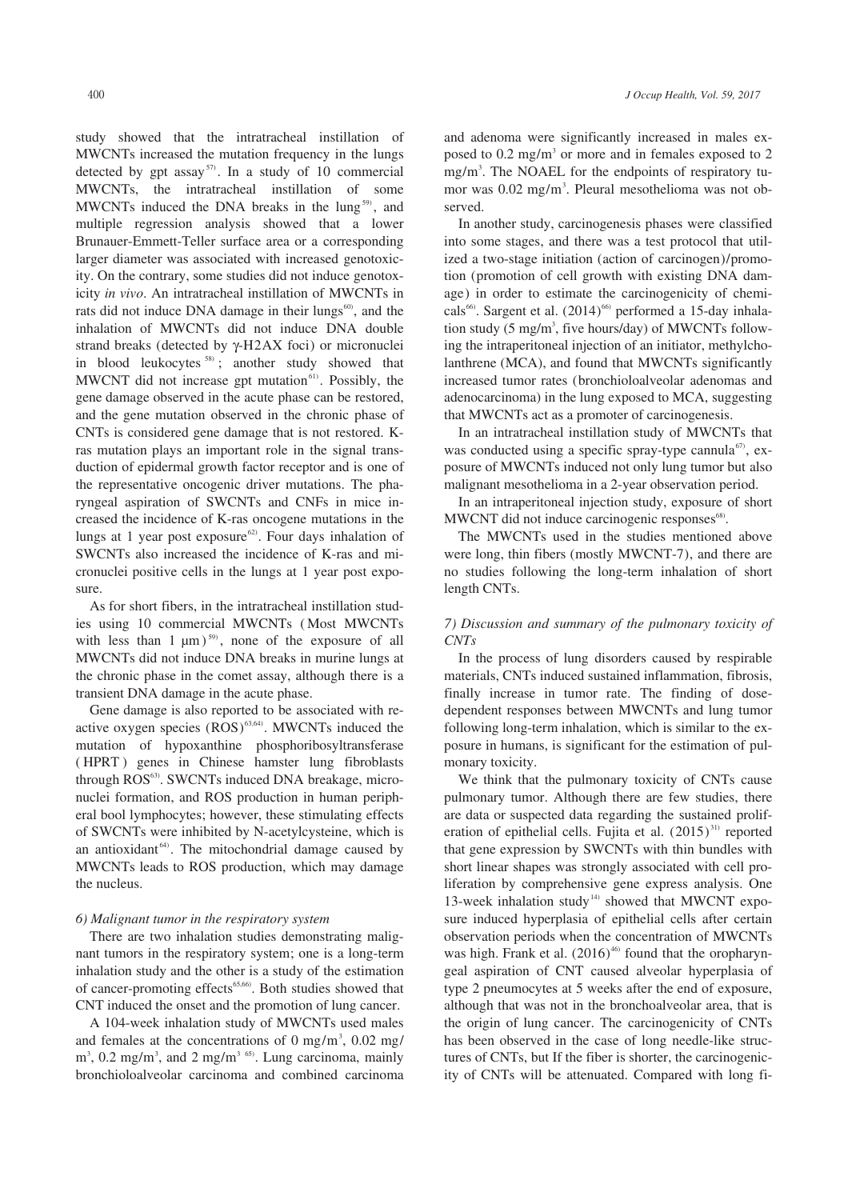study showed that the intratracheal instillation of MWCNTs increased the mutation frequency in the lungs detected by gpt assay<sup>57)</sup>. In a study of 10 commercial MWCNTs, the intratracheal instillation of some MWCNTs induced the DNA breaks in the lung<sup>59)</sup>, and multiple regression analysis showed that a lower Brunauer-Emmett-Teller surface area or a corresponding larger diameter was associated with increased genotoxicity. On the contrary, some studies did not induce genotoxicity *in vivo*. An intratracheal instillation of MWCNTs in rats did not induce DNA damage in their lungs<sup>60</sup>, and the inhalation of MWCNTs did not induce DNA double strand breaks (detected by γ-H2AX foci) or micronuclei in blood leukocytes  $58$ ); another study showed that MWCNT did not increase gpt mutation $61$ . Possibly, the gene damage observed in the acute phase can be restored, and the gene mutation observed in the chronic phase of CNTs is considered gene damage that is not restored. Kras mutation plays an important role in the signal transduction of epidermal growth factor receptor and is one of the representative oncogenic driver mutations. The pharyngeal aspiration of SWCNTs and CNFs in mice increased the incidence of K-ras oncogene mutations in the lungs at 1 year post exposure<sup>62)</sup>. Four days inhalation of SWCNTs also increased the incidence of K-ras and micronuclei positive cells in the lungs at 1 year post exposure.

As for short fibers, in the intratracheal instillation studies using 10 commercial MWCNTs ( Most MWCNTs with less than  $1 \mu m$ )<sup>59</sup>, none of the exposure of all MWCNTs did not induce DNA breaks in murine lungs at the chronic phase in the comet assay, although there is a transient DNA damage in the acute phase.

Gene damage is also reported to be associated with reactive oxygen species  $(ROS)^{63,64}$ . MWCNTs induced the mutation of hypoxanthine phosphoribosyltransferase ( HPRT ) genes in Chinese hamster lung fibroblasts through ROS<sup>63</sup>. SWCNTs induced DNA breakage, micronuclei formation, and ROS production in human peripheral bool lymphocytes; however, these stimulating effects of SWCNTs were inhibited by N-acetylcysteine, which is an antioxidant<sup>64)</sup>. The mitochondrial damage caused by MWCNTs leads to ROS production, which may damage the nucleus.

## *6) Malignant tumor in the respiratory system*

There are two inhalation studies demonstrating malignant tumors in the respiratory system; one is a long-term inhalation study and the other is a study of the estimation of cancer-promoting effects<sup>65,66</sup>. Both studies showed that CNT induced the onset and the promotion of lung cancer.

A 104-week inhalation study of MWCNTs used males and females at the concentrations of 0 mg/m<sup>3</sup>, 0.02 mg/  $\text{m}^3$ , 0.2 mg/m<sup>3</sup>, and 2 mg/m<sup>3 65)</sup>. Lung carcinoma, mainly bronchioloalveolar carcinoma and combined carcinoma and adenoma were significantly increased in males exposed to  $0.2 \text{ mg/m}^3$  or more and in females exposed to  $2$ mg/m3 . The NOAEL for the endpoints of respiratory tumor was 0.02 mg/m<sup>3</sup>. Pleural mesothelioma was not observed.

In another study, carcinogenesis phases were classified into some stages, and there was a test protocol that utilized a two-stage initiation (action of carcinogen)/promotion (promotion of cell growth with existing DNA damage) in order to estimate the carcinogenicity of chemicals<sup>66)</sup>. Sargent et al.  $(2014)$ <sup>66)</sup> performed a 15-day inhalation study (5 mg/m<sup>3</sup>, five hours/day) of MWCNTs following the intraperitoneal injection of an initiator, methylcholanthrene (MCA), and found that MWCNTs significantly increased tumor rates (bronchioloalveolar adenomas and adenocarcinoma) in the lung exposed to MCA, suggesting that MWCNTs act as a promoter of carcinogenesis.

In an intratracheal instillation study of MWCNTs that was conducted using a specific spray-type cannula<sup>67</sup>, exposure of MWCNTs induced not only lung tumor but also malignant mesothelioma in a 2-year observation period.

In an intraperitoneal injection study, exposure of short MWCNT did not induce carcinogenic responses<sup>68)</sup>.

The MWCNTs used in the studies mentioned above were long, thin fibers (mostly MWCNT-7), and there are no studies following the long-term inhalation of short length CNTs.

# *7) Discussion and summary of the pulmonary toxicity of CNTs*

In the process of lung disorders caused by respirable materials, CNTs induced sustained inflammation, fibrosis, finally increase in tumor rate. The finding of dosedependent responses between MWCNTs and lung tumor following long-term inhalation, which is similar to the exposure in humans, is significant for the estimation of pulmonary toxicity.

We think that the pulmonary toxicity of CNTs cause pulmonary tumor. Although there are few studies, there are data or suspected data regarding the sustained proliferation of epithelial cells. Fujita et al.  $(2015)^{31}$  reported that gene expression by SWCNTs with thin bundles with short linear shapes was strongly associated with cell proliferation by comprehensive gene express analysis. One 13-week inhalation study<sup>14)</sup> showed that MWCNT exposure induced hyperplasia of epithelial cells after certain observation periods when the concentration of MWCNTs was high. Frank et al.  $(2016)^{46}$  found that the oropharyngeal aspiration of CNT caused alveolar hyperplasia of type 2 pneumocytes at 5 weeks after the end of exposure, although that was not in the bronchoalveolar area, that is the origin of lung cancer. The carcinogenicity of CNTs has been observed in the case of long needle-like structures of CNTs, but If the fiber is shorter, the carcinogenicity of CNTs will be attenuated. Compared with long fi-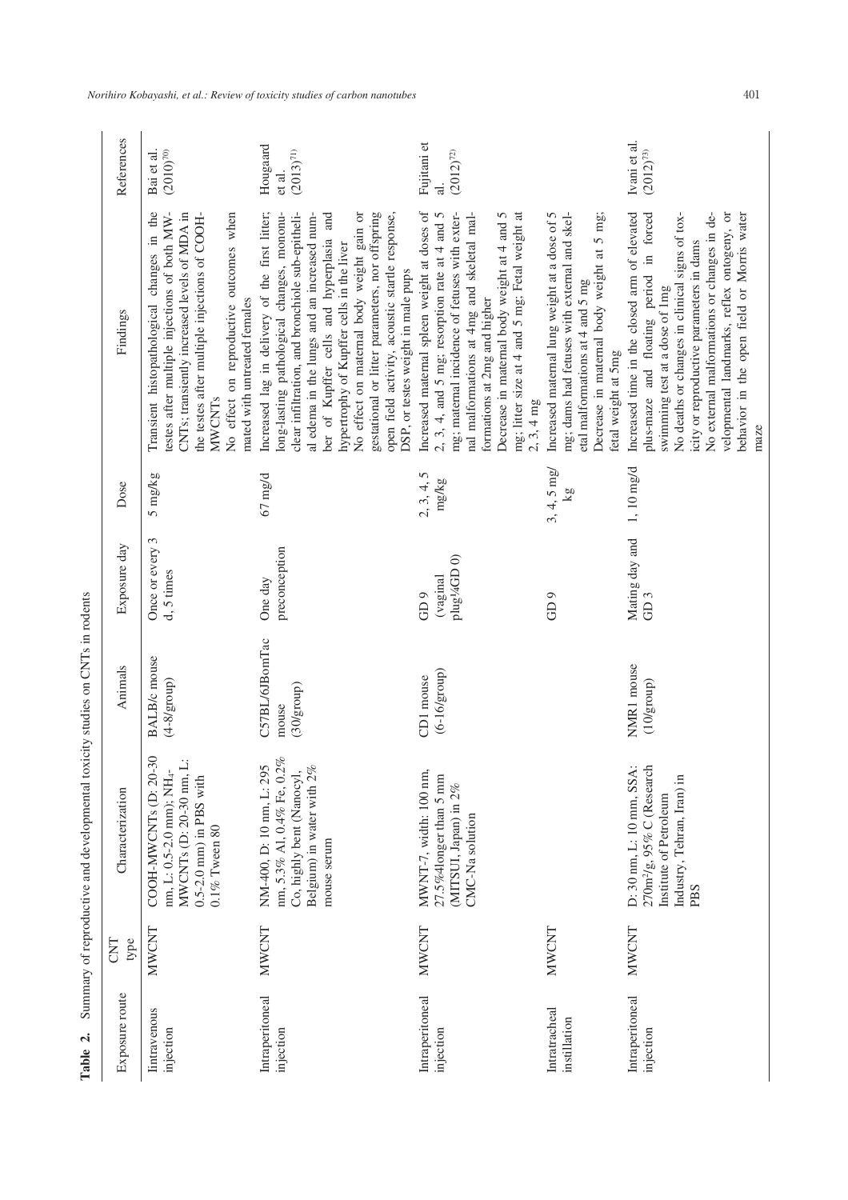| くうい                                                                                                                                                                                                                                  |
|--------------------------------------------------------------------------------------------------------------------------------------------------------------------------------------------------------------------------------------|
| ĺ                                                                                                                                                                                                                                    |
| <br> <br> <br>                                                                                                                                                                                                                       |
|                                                                                                                                                                                                                                      |
|                                                                                                                                                                                                                                      |
|                                                                                                                                                                                                                                      |
| <b>Continued in the continued of the continued in the continued of the continued in the continued of the continued in the continued of the continued of the continued of the continued of the continued of the continued of the </b> |
|                                                                                                                                                                                                                                      |
|                                                                                                                                                                                                                                      |
|                                                                                                                                                                                                                                      |
|                                                                                                                                                                                                                                      |
|                                                                                                                                                                                                                                      |
| l                                                                                                                                                                                                                                    |
|                                                                                                                                                                                                                                      |
|                                                                                                                                                                                                                                      |
|                                                                                                                                                                                                                                      |
| $\frac{1}{2}$                                                                                                                                                                                                                        |
|                                                                                                                                                                                                                                      |
|                                                                                                                                                                                                                                      |
|                                                                                                                                                                                                                                      |
| ł                                                                                                                                                                                                                                    |
|                                                                                                                                                                                                                                      |
|                                                                                                                                                                                                                                      |
| j                                                                                                                                                                                                                                    |
| i<br>Sidney Santa Contra Contra Contra Contra Contra Contra Contra Contra Contra Contra Contra Contra Contra Contra<br>Contra Contra Contra Contra Contra Contra Contra Contra Contra Contra Contra Contra Contra Contra Contra Cont |
|                                                                                                                                                                                                                                      |
| i                                                                                                                                                                                                                                    |
|                                                                                                                                                                                                                                      |
|                                                                                                                                                                                                                                      |
| l                                                                                                                                                                                                                                    |

| $\mathbf{a}$<br>Table            |              | Summary of reproductive and developmental toxicity studies on CNTs in rodents                                                                |                                       |                                                        |                     |                                                                                                                                                                                                                                                                                                                                                                                                                                                                                  |                                     |
|----------------------------------|--------------|----------------------------------------------------------------------------------------------------------------------------------------------|---------------------------------------|--------------------------------------------------------|---------------------|----------------------------------------------------------------------------------------------------------------------------------------------------------------------------------------------------------------------------------------------------------------------------------------------------------------------------------------------------------------------------------------------------------------------------------------------------------------------------------|-------------------------------------|
| Exposure route                   | CNT<br>type  | Characterization                                                                                                                             | Animals                               | Exposure day                                           | Dose                | Findings                                                                                                                                                                                                                                                                                                                                                                                                                                                                         | References                          |
| <b>lintravenous</b><br>injection | NWCNT        | MWCNTs (D: 20-30 nm, L:<br>COOH-MWCNTs (D: 20-30<br>nm, L: 0.5-2.0 mm); NH <sub>4</sub> -<br>$0.5 - 2.0$ mm) in PBS with<br>$0.1\%$ Tween 80 | <b>BALB/c</b> mouse<br>$(4-8/group)$  | Once or every 3<br>d, 5 times                          | 5 mg/kg             | Transient histopathological changes in the<br>testes after multiple injections of both MW-<br>CNTs; transiently increased levels of MDA in<br>the testes after multiple injections of COOH-<br>No effect on reproductive outcomes when<br>mated with untreated females<br><b>MWCNTs</b>                                                                                                                                                                                          | $(2010)^{70}$<br>Bai et al.         |
| Intraperitoneal<br>injection     | NWCNT        | nm, 5.3% A1, 0.4% Fe, 0.2%<br>NM-400, D: 10 nm, L: 295<br>Belgium) in water with 2%<br>Co, highly bent (Nanocyl,<br>mouse serum              | C57BL/6JBomTac<br>(30/group)<br>mouse | preconception<br>One day                               | $67 \text{ mg/d}$   | Increased lag in delivery of the first litter;<br>No effect on maternal body weight gain or<br>gestational or litter parameters, nor offspring<br>ong-lasting pathological changes, mononu-<br>clear infiltration, and bronchiole sub-epitheli-<br>ber of Kupffer cells and hyperplasia and<br>al edema in the lungs and an increased num-<br>open field activity, acoustic startle response,<br>hypertrophy of Kupffer cells in the liver<br>DSP, or testes weight in male pups | Hougaard<br>$(2013)^{71}$<br>et al. |
| Intraperitoneal<br>injection     | <b>MWCNT</b> | MWNT-7, width: 100 nm,<br>$27.5\%$ 41<br>onger than 5 mm<br>(MITSUI, Japan) in $2\%$<br>CMC-Na solution                                      | $(6-16/\text{group})$<br>CD1 mouse    | plug44GD <sub>0</sub> )<br>(vaginal<br>GD <sub>9</sub> | 2, 3, 4, 5<br>mg/kg | Increased maternal spleen weight at doses of<br>mg; litter size at 4 and 5 mg; Fetal weight at<br>2, 3, 4, and 5 mg; resorption rate at 4 and 5<br>mg; maternal incidence of fetuses with exter-<br>Decrease in maternal body weight at 4 and 5<br>nal malformations at 4mg and skeletal mal-<br>formations at 2mg and higher<br>$2, 3, 4$ mg                                                                                                                                    | Fujitani et<br>$(2012)^{72}$        |
| Intratracheal<br>instillation    | MWCNT        |                                                                                                                                              |                                       | GD <sub>9</sub>                                        | $3, 4, 5$ mg/<br>kg | Increased maternal lung weight at a dose of 5<br>Decrease in maternal body weight at 5 mg;<br>mg; dams had fetuses with external and skel-<br>etal malformations at 4 and 5 mg<br>fetal weight at 5mg                                                                                                                                                                                                                                                                            |                                     |
| Intraperitoneal<br>injection     | NWCNT        | $270 \text{m}^2\text{/g}$ , 95% C (Research<br>D: 30 nm, L: 10 mm, SSA:<br>Industry, Tehran, Iran) in<br>Institute of Petroleum<br>PBS       | NMR1 mouse<br>$(10/\text{group})$     | Mating day and<br>GD <sub>3</sub>                      | $1, 10$ mg/d        | Increased time in the closed arm of elevated<br>plus-maze and floating period in forced<br>No external malformations or changes in de-<br>velopmental landmarks, reflex ontogeny, or<br>behavior in the open field or Morris water<br>No deaths or changes in clinical signs of tox-<br>icity or reproductive parameters in dams<br>swimming test at a dose of 1mg<br>maze                                                                                                       | Ivani et al.<br>$(2012)^{73}$       |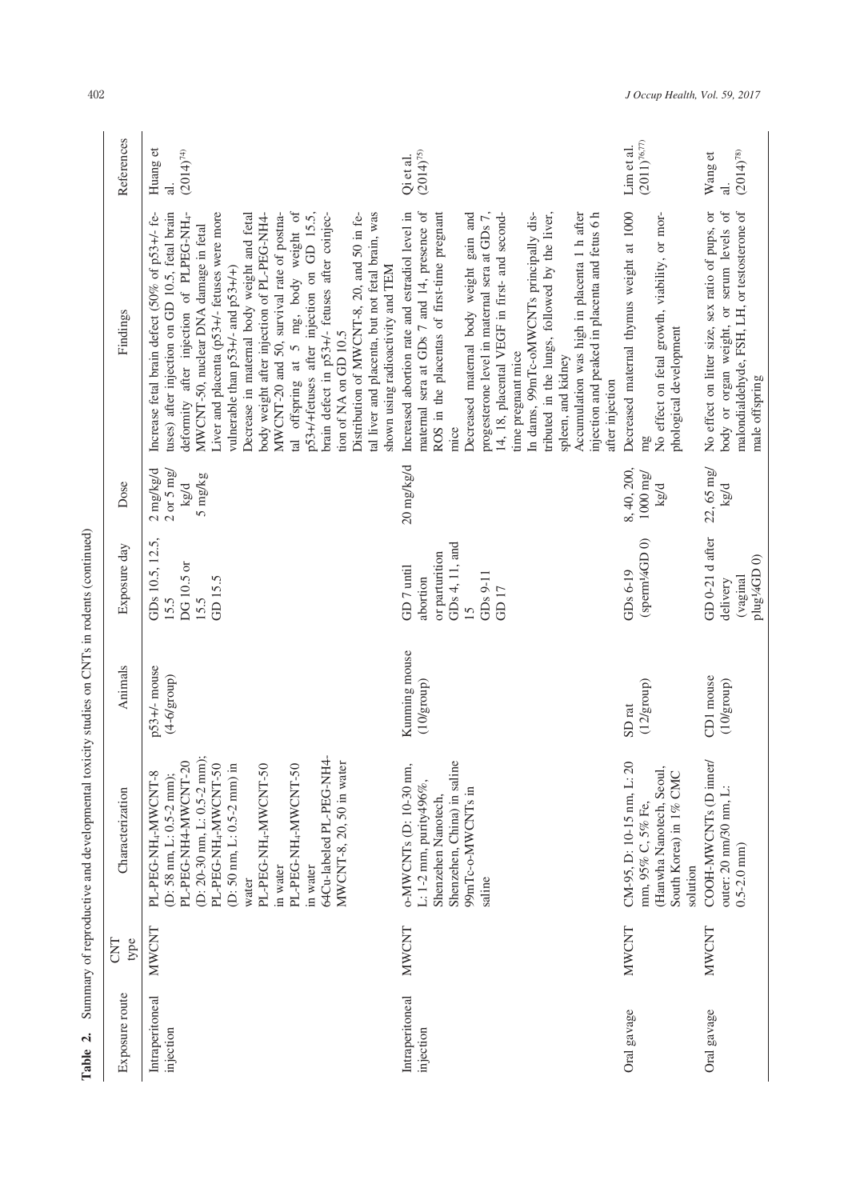| Table 2.                     |              | Summary of reproductive and developmental toxicity studies on CNTs in rodents (continued)                                                                                                                                                                                                                                                                     |                                        |                                                                                                                  |                                                              |                                                                                                                                                                                                                                                                                                                                                                                                                                                                                                                                                                                                                                                                                                                               |                                            |
|------------------------------|--------------|---------------------------------------------------------------------------------------------------------------------------------------------------------------------------------------------------------------------------------------------------------------------------------------------------------------------------------------------------------------|----------------------------------------|------------------------------------------------------------------------------------------------------------------|--------------------------------------------------------------|-------------------------------------------------------------------------------------------------------------------------------------------------------------------------------------------------------------------------------------------------------------------------------------------------------------------------------------------------------------------------------------------------------------------------------------------------------------------------------------------------------------------------------------------------------------------------------------------------------------------------------------------------------------------------------------------------------------------------------|--------------------------------------------|
| Exposure route               | type<br>CNT  | Characterization                                                                                                                                                                                                                                                                                                                                              | Animals                                | Exposure day                                                                                                     | Dose                                                         | Findings                                                                                                                                                                                                                                                                                                                                                                                                                                                                                                                                                                                                                                                                                                                      | References                                 |
| Intraperitoneal<br>injection | <b>NWCNT</b> | 64Cu-labeled PL-PEG-NH4-<br>PL-PEG-NH4-MWCNT-20<br>(D: 20-30 nm, L: 0.5-2 mm);<br>PL-PEG-NH <sub>4</sub> -MWCNT-50<br>MWCNT-8, 20, 50 in water<br>$(D:50$ nm, $L:0.5\text{-}2$ mm) in<br>PL-PEG-NH <sub>4</sub> -MWCNT-50<br>PL-PEG-NH <sub>4</sub> -MWCNT-50<br>PL-PEG-NH <sub>4</sub> -MWCNT-8<br>(D: 58 nm, L: 0.5-2 nm);<br>in water<br>in water<br>water | $p53+/-$ mouse<br>$(4-6/\text{group})$ | GDs 10.5, 12.5,<br>DG10.5 or<br>GD 15.5<br>15.5<br>15.5                                                          | 2 mg/kg/d<br>$2 \text{ or } 5 \text{ mg}$<br>5 mg/kg<br>kg/d | tal offspring at 5 mg, body weight of<br>tuses) after injection on GD 10.5, fetal brain<br>Liver and placenta (p53+/- fetuses were more<br>tal liver and placenta, but not fetal brain, was<br>deformity after injection of PLPEG-NH4-<br>Decrease in maternal body weight and fetal<br>MWCNT-20 and 50, survival rate of postna-<br>p53+/+fetuses after injection on GD 15.5,<br>Distribution of MWCNT-8, 20, and 50 in fe-<br>Increase fetal brain defect (50% of p53+/- fe-<br>brain defect in p53+/- fetuses after coinjec-<br>body weight after injection of PL-PEG-NH4-<br>MWCNT-50, nuclear DNA damage in fetal<br>shown using radioactivity and TEM<br>vulnerable than $p53+/-$ and $p53+/-$<br>tion of NA on GD 10.5 | Huang et<br>$(2014)^{74}$<br>ನ             |
| Intraperitoneal<br>injection | <b>MWCNT</b> | Shenzehen, China) in saline<br>o-MWCNTs (D: 10-30 nm,<br>L: 1-2 mm, purity $496\%$ ,<br>99mTc-o-MWCNTs in<br>Shenzehen Nanotech,<br>saline                                                                                                                                                                                                                    | Kunming mouse<br>(10/growp)            | GDs 4, 11, and<br>or parturition<br>GD <sub>7</sub> until<br>GDs 9-11<br>abortion<br>GD <sub>17</sub><br>$15 \,$ | 20 mg/kg/d                                                   | Increased abortion rate and estradiol level in<br>maternal sera at GDs 7 and 14, presence of<br>ROS in the placentas of first-time pregnant<br>Decreased maternal body weight gain and<br>Accumulation was high in placenta 1 h after<br>progesterone level in maternal sera at GDs 7,<br>In dams, 99mTc-oMWCNTs principally dis-<br>tributed in the lungs, followed by the liver,<br>injection and peaked in placenta and fetus 6 h<br>14, 18, placental VEGF in first- and second-<br>time pregnant mice<br>spleen, and kidney<br>after injection<br>mice                                                                                                                                                                   | $(2014)^{75}$<br>Qi et al.                 |
| Oral gavage                  | <b>NWCNT</b> | CM-95, D: 10-15 nm, L: 20<br>(Hanwha Nanotech, Seoul,<br>South Korea) in 1% CMC<br>mm, 95% C, 5% Fe,<br>solution                                                                                                                                                                                                                                              | (12/group)<br>SD <sub>rat</sub>        | (sperm¼GD 0)<br>GDs 6-19                                                                                         | 8, 40, 200,<br>$1000~\mathrm{mg}$<br>kg/d                    | Decreased maternal thymus weight at 1000<br>No effect on fetal growth, viability, or mor-<br>phological development<br>mg                                                                                                                                                                                                                                                                                                                                                                                                                                                                                                                                                                                                     | $(2011)^{76,77}$<br>Lim et al.             |
| Oral gavage                  | <b>MWCNT</b> | COOH-MWCNTs (D inner/<br>outer: $20 \text{ nm}/30 \text{ nm}$ , L:<br>$0.5 - 2.0$ mm)                                                                                                                                                                                                                                                                         | CD1 mouse<br>(10/group)                | GD 0-21 d after<br>plug14GD0)<br>(vaginal)<br>delivery                                                           | 22, 65 mg/<br>kg/d                                           | body or organ weight, or serum levels of<br>malondialdehyde, FSH, LH, or testosterone of<br>No effect on litter size, sex ratio of pups, or<br>male offspring                                                                                                                                                                                                                                                                                                                                                                                                                                                                                                                                                                 | $(2014)^{78}$<br>Wang et<br>$\overline{a}$ |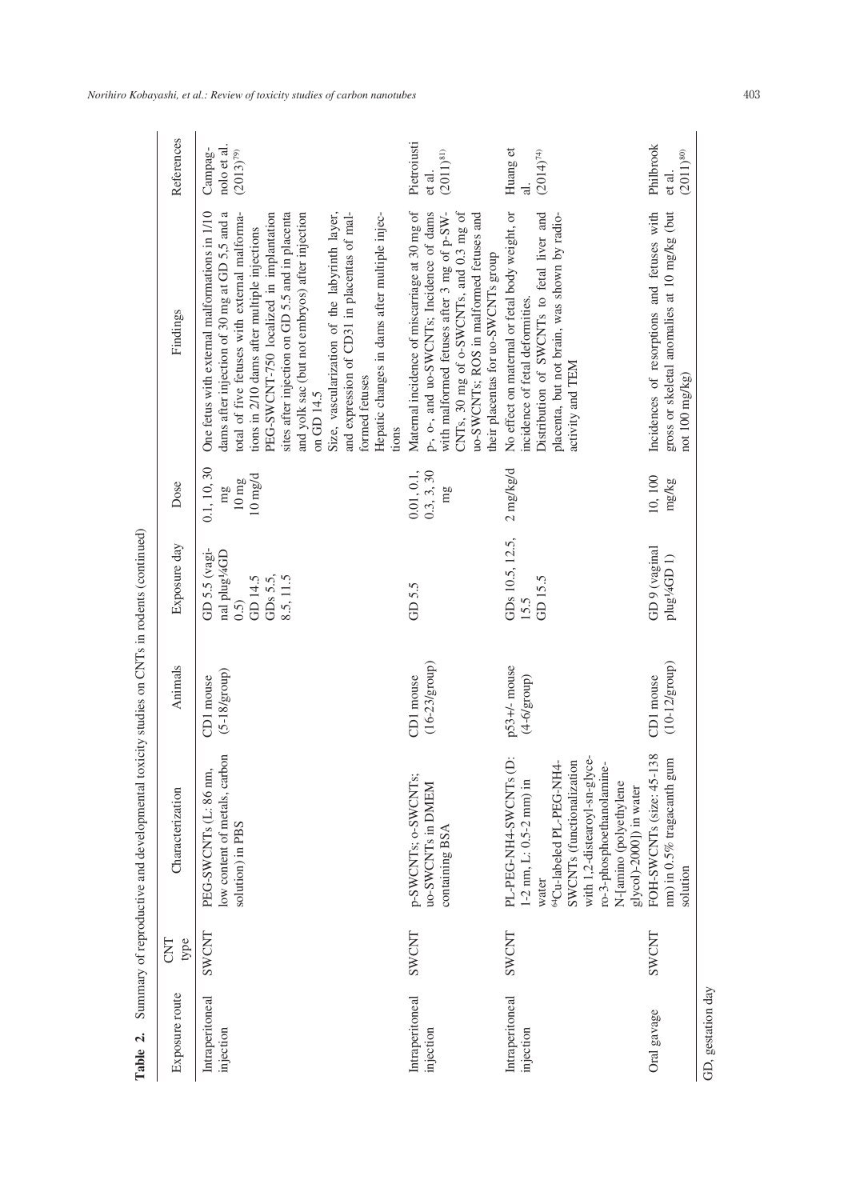| References       | nolo et al.<br>Campag-<br>$(2013)^{79}$                                                                                                                                                                                                                                                                                                                                                                                                                                                                                                   | Pietroiusti<br>$(2011)^{81}$<br>et al.                                                                                                                                                                                                                              | Huang et<br>$(2014)^{74}$<br>$\overline{d}$                                                                                                                                                                                                                      | Philbrook<br>$(2011)^{80}$<br>et al.                                                                         |
|------------------|-------------------------------------------------------------------------------------------------------------------------------------------------------------------------------------------------------------------------------------------------------------------------------------------------------------------------------------------------------------------------------------------------------------------------------------------------------------------------------------------------------------------------------------------|---------------------------------------------------------------------------------------------------------------------------------------------------------------------------------------------------------------------------------------------------------------------|------------------------------------------------------------------------------------------------------------------------------------------------------------------------------------------------------------------------------------------------------------------|--------------------------------------------------------------------------------------------------------------|
| Findings         | One fetus with external malformations in 1/10<br>dams after injection of 30 mg at GD 5,5 and a<br>PEG-SWCNT-750 localized in implantation<br>and yolk sac (but not embryos) after injection<br>Size, vascularization of the labyrinth layer,<br>total of five fetuses with external malforma-<br>sites after injection on GD 5.5 and in placenta<br>and expression of CD31 in placentas of mal-<br>Hepatic changes in dams after multiple injec-<br>tions in 2/10 dams after multiple injections<br>formed fetuses<br>on GD 14.5<br>tions | CNTs, 30 mg of o-SWCNTs, and 0.3 mg of<br>Maternal incidence of miscarriage at 30 mg of<br>uo-SWCNTs; ROS in malformed fetuses and<br>p-, o-, and uo-SWCNTs; Incidence of dams<br>with malformed fetuses after 3 mg of p-SW-<br>their placentas for uo-SWCNTs group | No effect on maternal or fetal body weight, or<br>Distribution of SWCNTs to fetal liver and<br>placenta, but not brain, was shown by radio-<br>incidence of fetal deformities.<br>activity and TEM                                                               | gross or skeletal anomalies at 10 mg/kg (but<br>Incidences of resorptions and fetuses with<br>not 100 mg/kg) |
| Dose             | 0.1, 10, 30<br>$10 \text{ mg/d}$<br>$10 \text{ mg}$<br>mg                                                                                                                                                                                                                                                                                                                                                                                                                                                                                 | 0.01, 0.1,<br>0.3, 3, 30<br>mg                                                                                                                                                                                                                                      | $2$ mg/kg/d                                                                                                                                                                                                                                                      | 10,100<br>mg/kg                                                                                              |
| Exposure day     | GD 5.5 (vagi-<br>nal plug¼GD<br>GDs 5.5,<br>GD 14.5<br>8.5, 11.5<br>(0.5)                                                                                                                                                                                                                                                                                                                                                                                                                                                                 | GD5.5                                                                                                                                                                                                                                                               | GDs 10.5, 12.5,<br>GD 15.5<br>15.5                                                                                                                                                                                                                               | GD9 (vaginal<br>plug14GD 1)                                                                                  |
| Animals          | $(5-18/gr)$<br>CD1 mouse                                                                                                                                                                                                                                                                                                                                                                                                                                                                                                                  | $(16-23/\text{group})$<br>CD1 mouse                                                                                                                                                                                                                                 | $p53+/-$ mouse<br>$(4-6/growp)$                                                                                                                                                                                                                                  | $(10-12/\text{group})$<br>CD1 mouse                                                                          |
| Characterization | low content of metals, carbon<br>PEG-SWCNTs (L: 86 nm,<br>solution) in PBS                                                                                                                                                                                                                                                                                                                                                                                                                                                                | p-SWCNTs; o-SWCNTs;<br>uo-SWCNTs in DMEM<br>containing BSA                                                                                                                                                                                                          | $\ddot{\rho}$<br>with 1,2-distearoyl-sn-glyce-<br>SWCNTs (functionalization<br><sup>64</sup> Cu-labeled PL-PEG-NH4-<br>ro-3-phosphoethanolamine-<br>PL-PEG-NH4-SWCNTs<br>$1-2$ nm, L: 0.5-2 mm) in<br>N-[amino (polyethylene<br>glycol)-2000]) in water<br>water | 138<br>nm) in 0.5% tragacanth gum<br>FOH-SWCNTs (size: 45-1<br>solution                                      |
| type<br>CNT      | SWCNT                                                                                                                                                                                                                                                                                                                                                                                                                                                                                                                                     | SWCNT                                                                                                                                                                                                                                                               | SWCNT                                                                                                                                                                                                                                                            | SWCNT                                                                                                        |
| Exposure route   | Intraperitoneal<br>injection                                                                                                                                                                                                                                                                                                                                                                                                                                                                                                              | Intraperitoneal<br>injection                                                                                                                                                                                                                                        | Intraperitoneal<br>injection                                                                                                                                                                                                                                     | GD, gestation day<br>Oral gavage                                                                             |

Table 2. Summary of reproductive and developmental toxicity studies on CNTs in rodents (continued) **Table 2.** Summary of reproductive and developmental toxicity studies on CNTs in rodents (continued)

*Norihiro Kobayashi, et al.: Review of toxicity studies of carbon nanotubes* 403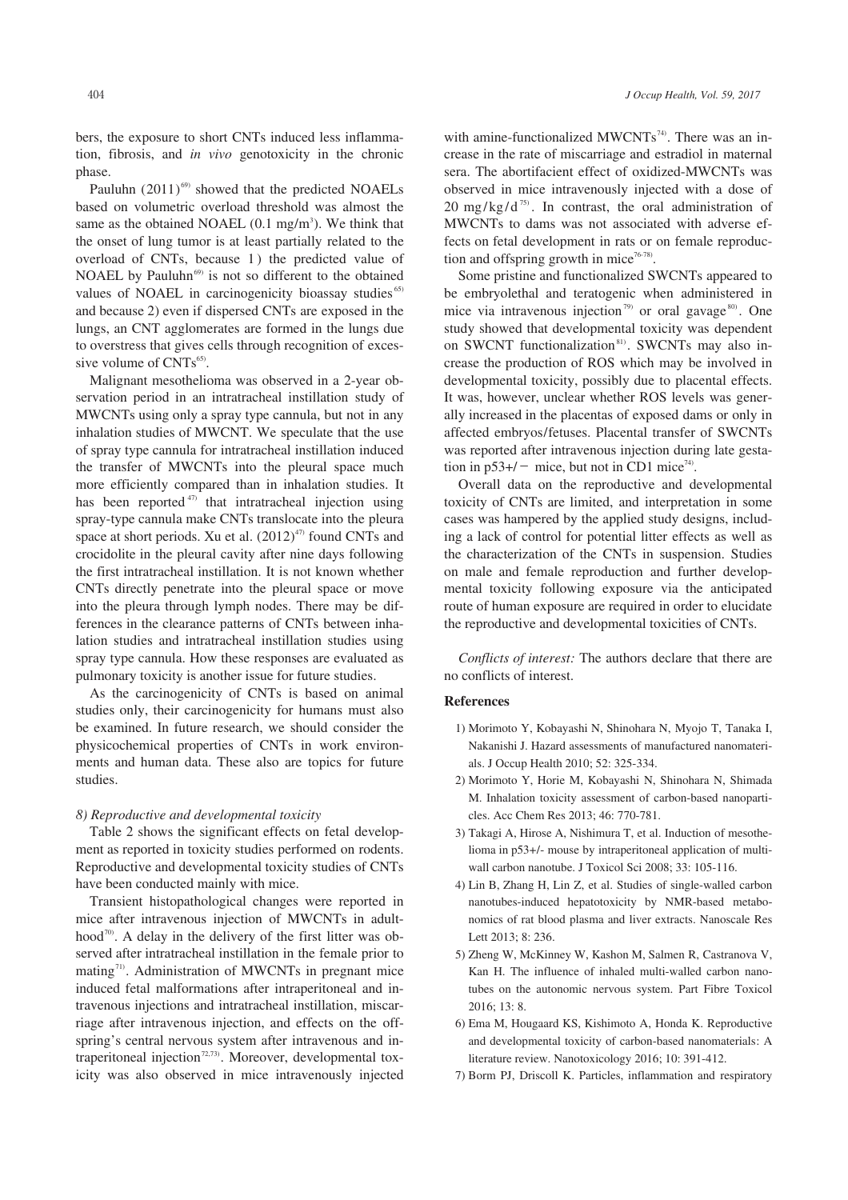bers, the exposure to short CNTs induced less inflammation, fibrosis, and *in vivo* genotoxicity in the chronic phase.

Pauluhn  $(2011)^{69}$  showed that the predicted NOAELs based on volumetric overload threshold was almost the same as the obtained NOAEL  $(0.1 \text{ mg/m}^3)$ . We think that the onset of lung tumor is at least partially related to the overload of CNTs, because 1) the predicted value of NOAEL by Pauluhn<sup>69)</sup> is not so different to the obtained values of NOAEL in carcinogenicity bioassay studies<sup>65)</sup> and because 2) even if dispersed CNTs are exposed in the lungs, an CNT agglomerates are formed in the lungs due to overstress that gives cells through recognition of excessive volume of CNTs<sup>65)</sup>.

Malignant mesothelioma was observed in a 2-year observation period in an intratracheal instillation study of MWCNTs using only a spray type cannula, but not in any inhalation studies of MWCNT. We speculate that the use of spray type cannula for intratracheal instillation induced the transfer of MWCNTs into the pleural space much more efficiently compared than in inhalation studies. It has been reported<sup>47)</sup> that intratracheal injection using spray-type cannula make CNTs translocate into the pleura space at short periods. Xu et al.  $(2012)^{47}$  found CNTs and crocidolite in the pleural cavity after nine days following the first intratracheal instillation. It is not known whether CNTs directly penetrate into the pleural space or move into the pleura through lymph nodes. There may be differences in the clearance patterns of CNTs between inhalation studies and intratracheal instillation studies using spray type cannula. How these responses are evaluated as pulmonary toxicity is another issue for future studies.

As the carcinogenicity of CNTs is based on animal studies only, their carcinogenicity for humans must also be examined. In future research, we should consider the physicochemical properties of CNTs in work environments and human data. These also are topics for future studies.

#### *8) Reproductive and developmental toxicity*

Table 2 shows the significant effects on fetal development as reported in toxicity studies performed on rodents. Reproductive and developmental toxicity studies of CNTs have been conducted mainly with mice.

Transient histopathological changes were reported in mice after intravenous injection of MWCNTs in adulthood<sup>70)</sup>. A delay in the delivery of the first litter was observed after intratracheal instillation in the female prior to mating $71$ ). Administration of MWCNTs in pregnant mice induced fetal malformations after intraperitoneal and intravenous injections and intratracheal instillation, miscarriage after intravenous injection, and effects on the offspring's central nervous system after intravenous and intraperitoneal injection<sup>72,73)</sup>. Moreover, developmental toxicity was also observed in mice intravenously injected with amine-functionalized  $MWCNTs^{74}$ . There was an increase in the rate of miscarriage and estradiol in maternal sera. The abortifacient effect of oxidized-MWCNTs was observed in mice intravenously injected with a dose of 20 mg/kg/d<sup>75)</sup>. In contrast, the oral administration of MWCNTs to dams was not associated with adverse effects on fetal development in rats or on female reproduction and offspring growth in mice<sup>76-78)</sup>.

Some pristine and functionalized SWCNTs appeared to be embryolethal and teratogenic when administered in mice via intravenous injection<sup>79)</sup> or oral gavage<sup>80)</sup>. One study showed that developmental toxicity was dependent on SWCNT functionalization<sup>81)</sup>. SWCNTs may also increase the production of ROS which may be involved in developmental toxicity, possibly due to placental effects. It was, however, unclear whether ROS levels was generally increased in the placentas of exposed dams or only in affected embryos/fetuses. Placental transfer of SWCNTs was reported after intravenous injection during late gestation in  $p53+/-$  mice, but not in CD1 mice<sup>74</sup>.

Overall data on the reproductive and developmental toxicity of CNTs are limited, and interpretation in some cases was hampered by the applied study designs, including a lack of control for potential litter effects as well as the characterization of the CNTs in suspension. Studies on male and female reproduction and further developmental toxicity following exposure via the anticipated route of human exposure are required in order to elucidate the reproductive and developmental toxicities of CNTs.

*Conflicts of interest:* The authors declare that there are no conflicts of interest.

#### **References**

- 1) Morimoto Y, Kobayashi N, Shinohara N, Myojo T, Tanaka I, Nakanishi J. Hazard assessments of manufactured nanomaterials. J Occup Health 2010; 52: 325-334.
- 2) Morimoto Y, Horie M, Kobayashi N, Shinohara N, Shimada M. Inhalation toxicity assessment of carbon-based nanoparticles. Acc Chem Res 2013; 46: 770-781.
- 3) Takagi A, Hirose A, Nishimura T, et al. Induction of mesothelioma in p53+/- mouse by intraperitoneal application of multiwall carbon nanotube. J Toxicol Sci 2008; 33: 105-116.
- 4) Lin B, Zhang H, Lin Z, et al. Studies of single-walled carbon nanotubes-induced hepatotoxicity by NMR-based metabonomics of rat blood plasma and liver extracts. Nanoscale Res Lett 2013; 8: 236.
- 5) Zheng W, McKinney W, Kashon M, Salmen R, Castranova V, Kan H. The influence of inhaled multi-walled carbon nanotubes on the autonomic nervous system. Part Fibre Toxicol 2016; 13: 8.
- 6) Ema M, Hougaard KS, Kishimoto A, Honda K. Reproductive and developmental toxicity of carbon-based nanomaterials: A literature review. Nanotoxicology 2016; 10: 391-412.
- 7) Borm PJ, Driscoll K. Particles, inflammation and respiratory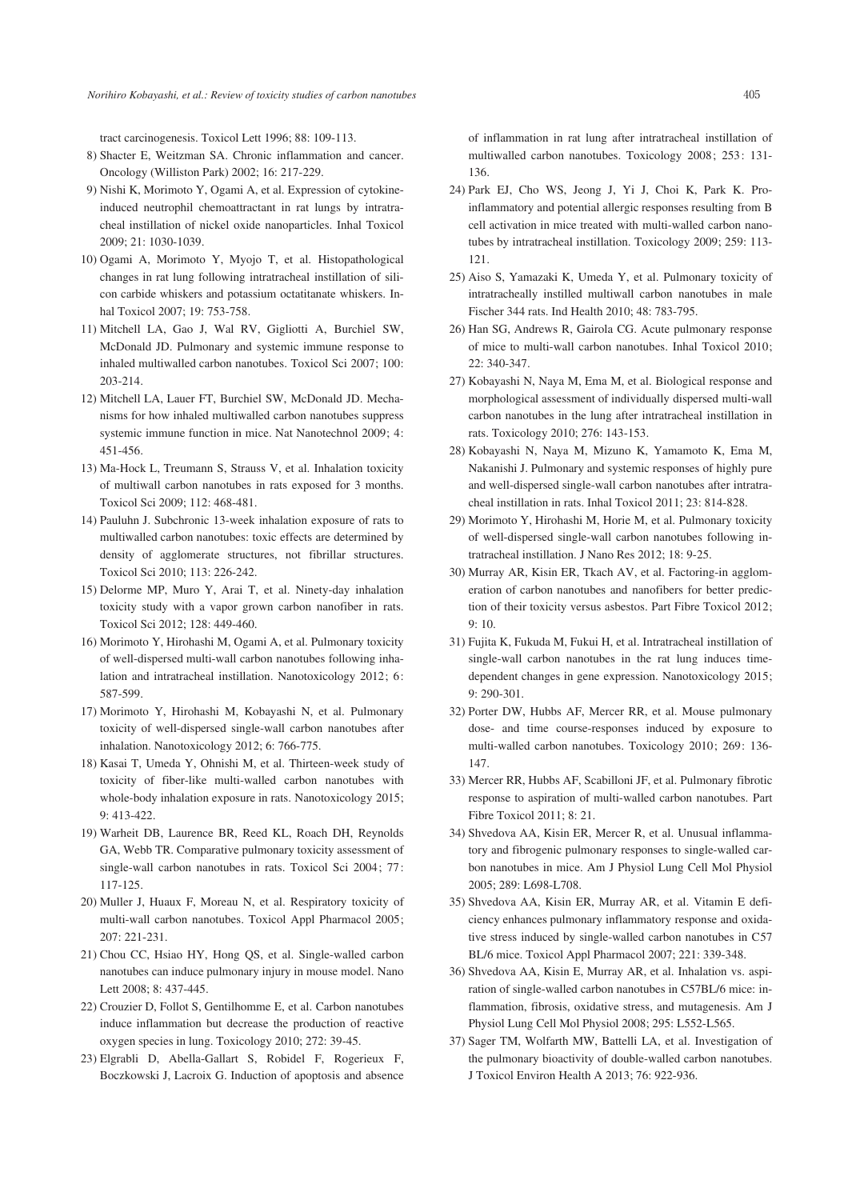tract carcinogenesis. Toxicol Lett 1996; 88: 109-113.

- 8) Shacter E, Weitzman SA. Chronic inflammation and cancer. Oncology (Williston Park) 2002; 16: 217-229.
- 9) Nishi K, Morimoto Y, Ogami A, et al. Expression of cytokineinduced neutrophil chemoattractant in rat lungs by intratracheal instillation of nickel oxide nanoparticles. Inhal Toxicol 2009; 21: 1030-1039.
- 10) Ogami A, Morimoto Y, Myojo T, et al. Histopathological changes in rat lung following intratracheal instillation of silicon carbide whiskers and potassium octatitanate whiskers. Inhal Toxicol 2007; 19: 753-758.
- 11) Mitchell LA, Gao J, Wal RV, Gigliotti A, Burchiel SW, McDonald JD. Pulmonary and systemic immune response to inhaled multiwalled carbon nanotubes. Toxicol Sci 2007; 100: 203-214.
- 12) Mitchell LA, Lauer FT, Burchiel SW, McDonald JD. Mechanisms for how inhaled multiwalled carbon nanotubes suppress systemic immune function in mice. Nat Nanotechnol 2009; 4: 451-456.
- 13) Ma-Hock L, Treumann S, Strauss V, et al. Inhalation toxicity of multiwall carbon nanotubes in rats exposed for 3 months. Toxicol Sci 2009; 112: 468-481.
- 14) Pauluhn J. Subchronic 13-week inhalation exposure of rats to multiwalled carbon nanotubes: toxic effects are determined by density of agglomerate structures, not fibrillar structures. Toxicol Sci 2010; 113: 226-242.
- 15) Delorme MP, Muro Y, Arai T, et al. Ninety-day inhalation toxicity study with a vapor grown carbon nanofiber in rats. Toxicol Sci 2012; 128: 449-460.
- 16) Morimoto Y, Hirohashi M, Ogami A, et al. Pulmonary toxicity of well-dispersed multi-wall carbon nanotubes following inhalation and intratracheal instillation. Nanotoxicology 2012; 6: 587-599.
- 17) Morimoto Y, Hirohashi M, Kobayashi N, et al. Pulmonary toxicity of well-dispersed single-wall carbon nanotubes after inhalation. Nanotoxicology 2012; 6: 766-775.
- 18) Kasai T, Umeda Y, Ohnishi M, et al. Thirteen-week study of toxicity of fiber-like multi-walled carbon nanotubes with whole-body inhalation exposure in rats. Nanotoxicology 2015; 9: 413-422.
- 19) Warheit DB, Laurence BR, Reed KL, Roach DH, Reynolds GA, Webb TR. Comparative pulmonary toxicity assessment of single-wall carbon nanotubes in rats. Toxicol Sci 2004; 77: 117-125.
- 20) Muller J, Huaux F, Moreau N, et al. Respiratory toxicity of multi-wall carbon nanotubes. Toxicol Appl Pharmacol 2005; 207: 221-231.
- 21) Chou CC, Hsiao HY, Hong QS, et al. Single-walled carbon nanotubes can induce pulmonary injury in mouse model. Nano Lett 2008; 8: 437-445.
- 22) Crouzier D, Follot S, Gentilhomme E, et al. Carbon nanotubes induce inflammation but decrease the production of reactive oxygen species in lung. Toxicology 2010; 272: 39-45.
- 23) Elgrabli D, Abella-Gallart S, Robidel F, Rogerieux F, Boczkowski J, Lacroix G. Induction of apoptosis and absence

of inflammation in rat lung after intratracheal instillation of multiwalled carbon nanotubes. Toxicology 2008; 253: 131- 136.

- 24) Park EJ, Cho WS, Jeong J, Yi J, Choi K, Park K. Proinflammatory and potential allergic responses resulting from B cell activation in mice treated with multi-walled carbon nanotubes by intratracheal instillation. Toxicology 2009; 259: 113- 121.
- 25) Aiso S, Yamazaki K, Umeda Y, et al. Pulmonary toxicity of intratracheally instilled multiwall carbon nanotubes in male Fischer 344 rats. Ind Health 2010; 48: 783-795.
- 26) Han SG, Andrews R, Gairola CG. Acute pulmonary response of mice to multi-wall carbon nanotubes. Inhal Toxicol 2010; 22: 340-347.
- 27) Kobayashi N, Naya M, Ema M, et al. Biological response and morphological assessment of individually dispersed multi-wall carbon nanotubes in the lung after intratracheal instillation in rats. Toxicology 2010; 276: 143-153.
- 28) Kobayashi N, Naya M, Mizuno K, Yamamoto K, Ema M, Nakanishi J. Pulmonary and systemic responses of highly pure and well-dispersed single-wall carbon nanotubes after intratracheal instillation in rats. Inhal Toxicol 2011; 23: 814-828.
- 29) Morimoto Y, Hirohashi M, Horie M, et al. Pulmonary toxicity of well-dispersed single-wall carbon nanotubes following intratracheal instillation. J Nano Res 2012; 18: 9-25.
- 30) Murray AR, Kisin ER, Tkach AV, et al. Factoring-in agglomeration of carbon nanotubes and nanofibers for better prediction of their toxicity versus asbestos. Part Fibre Toxicol 2012;  $9.10$
- 31) Fujita K, Fukuda M, Fukui H, et al. Intratracheal instillation of single-wall carbon nanotubes in the rat lung induces timedependent changes in gene expression. Nanotoxicology 2015; 9: 290-301.
- 32) Porter DW, Hubbs AF, Mercer RR, et al. Mouse pulmonary dose- and time course-responses induced by exposure to multi-walled carbon nanotubes. Toxicology 2010; 269: 136- 147.
- 33) Mercer RR, Hubbs AF, Scabilloni JF, et al. Pulmonary fibrotic response to aspiration of multi-walled carbon nanotubes. Part Fibre Toxicol 2011; 8: 21.
- 34) Shvedova AA, Kisin ER, Mercer R, et al. Unusual inflammatory and fibrogenic pulmonary responses to single-walled carbon nanotubes in mice. Am J Physiol Lung Cell Mol Physiol 2005; 289: L698-L708.
- 35) Shvedova AA, Kisin ER, Murray AR, et al. Vitamin E deficiency enhances pulmonary inflammatory response and oxidative stress induced by single-walled carbon nanotubes in C57 BL/6 mice. Toxicol Appl Pharmacol 2007; 221: 339-348.
- 36) Shvedova AA, Kisin E, Murray AR, et al. Inhalation vs. aspiration of single-walled carbon nanotubes in C57BL/6 mice: inflammation, fibrosis, oxidative stress, and mutagenesis. Am J Physiol Lung Cell Mol Physiol 2008; 295: L552-L565.
- 37) Sager TM, Wolfarth MW, Battelli LA, et al. Investigation of the pulmonary bioactivity of double-walled carbon nanotubes. J Toxicol Environ Health A 2013; 76: 922-936.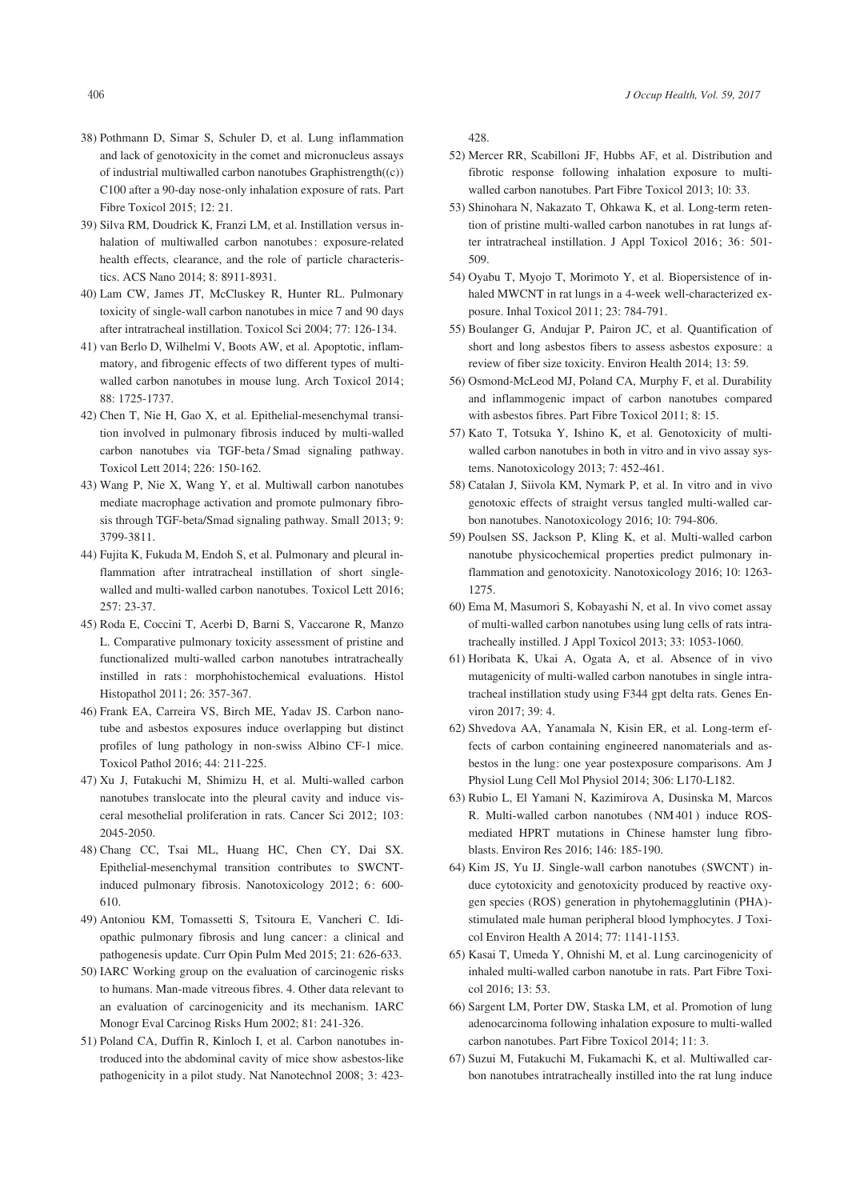- 38) Pothmann D, Simar S, Schuler D, et al. Lung inflammation and lack of genotoxicity in the comet and micronucleus assays of industrial multiwalled carbon nanotubes Graphistrength((c)) C100 after a 90-day nose-only inhalation exposure of rats. Part Fibre Toxicol 2015; 12: 21.
- 39) Silva RM, Doudrick K, Franzi LM, et al. Instillation versus inhalation of multiwalled carbon nanotubes: exposure-related health effects, clearance, and the role of particle characteristics. ACS Nano 2014; 8: 8911-8931.
- 40) Lam CW, James JT, McCluskey R, Hunter RL. Pulmonary toxicity of single-wall carbon nanotubes in mice 7 and 90 days after intratracheal instillation. Toxicol Sci 2004; 77: 126-134.
- 41) van Berlo D, Wilhelmi V, Boots AW, et al. Apoptotic, inflammatory, and fibrogenic effects of two different types of multiwalled carbon nanotubes in mouse lung. Arch Toxicol 2014; 88: 1725-1737.
- 42) Chen T, Nie H, Gao X, et al. Epithelial-mesenchymal transition involved in pulmonary fibrosis induced by multi-walled carbon nanotubes via TGF-beta / Smad signaling pathway. Toxicol Lett 2014; 226: 150-162.
- 43) Wang P, Nie X, Wang Y, et al. Multiwall carbon nanotubes mediate macrophage activation and promote pulmonary fibrosis through TGF-beta/Smad signaling pathway. Small 2013; 9: 3799-3811.
- 44) Fujita K, Fukuda M, Endoh S, et al. Pulmonary and pleural inflammation after intratracheal instillation of short singlewalled and multi-walled carbon nanotubes. Toxicol Lett 2016; 257: 23-37.
- 45) Roda E, Coccini T, Acerbi D, Barni S, Vaccarone R, Manzo L. Comparative pulmonary toxicity assessment of pristine and functionalized multi-walled carbon nanotubes intratracheally instilled in rats : morphohistochemical evaluations. Histol Histopathol 2011; 26: 357-367.
- 46) Frank EA, Carreira VS, Birch ME, Yadav JS. Carbon nanotube and asbestos exposures induce overlapping but distinct profiles of lung pathology in non-swiss Albino CF-1 mice. Toxicol Pathol 2016; 44: 211-225.
- 47) Xu J, Futakuchi M, Shimizu H, et al. Multi-walled carbon nanotubes translocate into the pleural cavity and induce visceral mesothelial proliferation in rats. Cancer Sci 2012; 103: 2045-2050.
- 48) Chang CC, Tsai ML, Huang HC, Chen CY, Dai SX. Epithelial-mesenchymal transition contributes to SWCNTinduced pulmonary fibrosis. Nanotoxicology 2012; 6: 600-610.
- 49) Antoniou KM, Tomassetti S, Tsitoura E, Vancheri C. Idiopathic pulmonary fibrosis and lung cancer: a clinical and pathogenesis update. Curr Opin Pulm Med 2015; 21: 626-633.
- 50) IARC Working group on the evaluation of carcinogenic risks to humans. Man-made vitreous fibres. 4. Other data relevant to an evaluation of carcinogenicity and its mechanism. IARC Monogr Eval Carcinog Risks Hum 2002; 81: 241-326.
- 51) Poland CA, Duffin R, Kinloch I, et al. Carbon nanotubes introduced into the abdominal cavity of mice show asbestos-like pathogenicity in a pilot study. Nat Nanotechnol 2008; 3: 423-

428.

- 52) Mercer RR, Scabilloni JF, Hubbs AF, et al. Distribution and fibrotic response following inhalation exposure to multiwalled carbon nanotubes. Part Fibre Toxicol 2013; 10: 33.
- 53) Shinohara N, Nakazato T, Ohkawa K, et al. Long-term retention of pristine multi-walled carbon nanotubes in rat lungs after intratracheal instillation. J Appl Toxicol 2016; 36: 501- 509.
- 54) Oyabu T, Myojo T, Morimoto Y, et al. Biopersistence of inhaled MWCNT in rat lungs in a 4-week well-characterized exposure. Inhal Toxicol 2011; 23: 784-791.
- 55) Boulanger G, Andujar P, Pairon JC, et al. Quantification of short and long asbestos fibers to assess asbestos exposure: a review of fiber size toxicity. Environ Health 2014; 13: 59.
- 56) Osmond-McLeod MJ, Poland CA, Murphy F, et al. Durability and inflammogenic impact of carbon nanotubes compared with asbestos fibres. Part Fibre Toxicol 2011; 8: 15.
- 57) Kato T, Totsuka Y, Ishino K, et al. Genotoxicity of multiwalled carbon nanotubes in both in vitro and in vivo assay systems. Nanotoxicology 2013; 7: 452-461.
- 58) Catalan J, Siivola KM, Nymark P, et al. In vitro and in vivo genotoxic effects of straight versus tangled multi-walled carbon nanotubes. Nanotoxicology 2016; 10: 794-806.
- 59) Poulsen SS, Jackson P, Kling K, et al. Multi-walled carbon nanotube physicochemical properties predict pulmonary inflammation and genotoxicity. Nanotoxicology 2016; 10: 1263- 1275.
- 60) Ema M, Masumori S, Kobayashi N, et al. In vivo comet assay of multi-walled carbon nanotubes using lung cells of rats intratracheally instilled. J Appl Toxicol 2013; 33: 1053-1060.
- 61) Horibata K, Ukai A, Ogata A, et al. Absence of in vivo mutagenicity of multi-walled carbon nanotubes in single intratracheal instillation study using F344 gpt delta rats. Genes Environ 2017; 39: 4.
- 62) Shvedova AA, Yanamala N, Kisin ER, et al. Long-term effects of carbon containing engineered nanomaterials and asbestos in the lung: one year postexposure comparisons. Am J Physiol Lung Cell Mol Physiol 2014; 306: L170-L182.
- 63) Rubio L, El Yamani N, Kazimirova A, Dusinska M, Marcos R. Multi-walled carbon nanotubes ( NM 401 ) induce ROSmediated HPRT mutations in Chinese hamster lung fibroblasts. Environ Res 2016; 146: 185-190.
- 64) Kim JS, Yu IJ. Single-wall carbon nanotubes (SWCNT) induce cytotoxicity and genotoxicity produced by reactive oxygen species (ROS) generation in phytohemagglutinin (PHA) stimulated male human peripheral blood lymphocytes. J Toxicol Environ Health A 2014; 77: 1141-1153.
- 65) Kasai T, Umeda Y, Ohnishi M, et al. Lung carcinogenicity of inhaled multi-walled carbon nanotube in rats. Part Fibre Toxicol 2016; 13: 53.
- 66) Sargent LM, Porter DW, Staska LM, et al. Promotion of lung adenocarcinoma following inhalation exposure to multi-walled carbon nanotubes. Part Fibre Toxicol 2014; 11: 3.
- 67) Suzui M, Futakuchi M, Fukamachi K, et al. Multiwalled carbon nanotubes intratracheally instilled into the rat lung induce